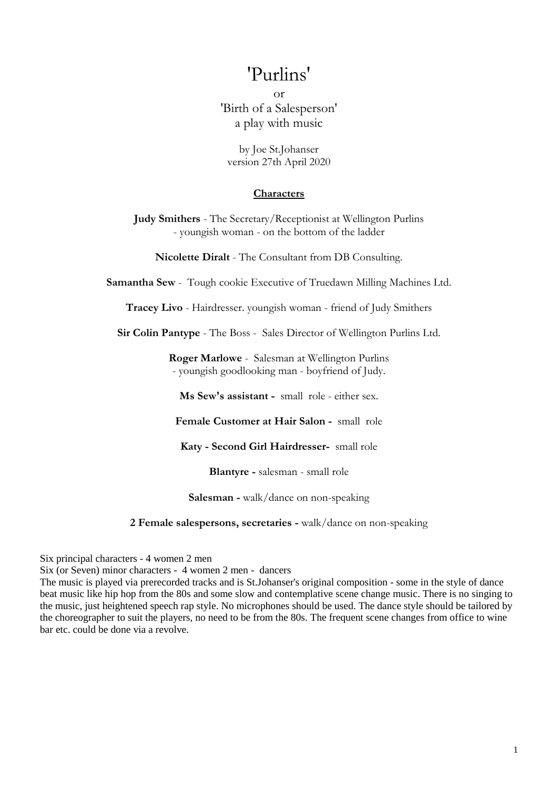# 'Purlins'

or 'Birth of a Salesperson' a play with music

by Joe St.Johanser version 27th April 2020

#### **Characters**

**Judy Smithers** - The Secretary/Receptionist at Wellington Purlins - youngish woman - on the bottom of the ladder

**Nicolette Diralt** - The Consultant from DB Consulting.

**Samantha Sew** - Tough cookie Executive of Truedawn Milling Machines Ltd.

**Tracey Livo** - Hairdresser. youngish woman - friend of Judy Smithers

**Sir Colin Pantype** - The Boss - Sales Director of Wellington Purlins Ltd.

**Roger Marlowe** - Salesman at Wellington Purlins - youngish goodlooking man - boyfriend of Judy.

**Ms Sew's assistant -** small role - either sex.

**Female Customer at Hair Salon -** small role

**Katy - Second Girl Hairdresser-** small role

**Blantyre -** salesman - small role

**Salesman -** walk/dance on non-speaking

**2 Female salespersons, secretaries -** walk/dance on non-speaking

Six principal characters - 4 women 2 men

Six (or Seven) minor characters - 4 women 2 men - dancers

The music is played via prerecorded tracks and is St.Johanser's original composition - some in the style of dance beat music like hip hop from the 80s and some slow and contemplative scene change music. There is no singing to the music, just heightened speech rap style. No microphones should be used. The dance style should be tailored by the choreographer to suit the players, no need to be from the 80s. The frequent scene changes from office to wine bar etc. could be done via a revolve.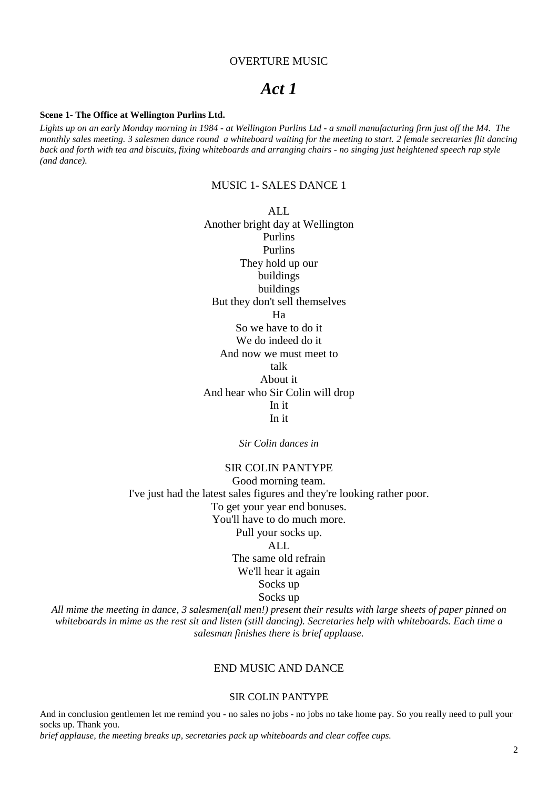#### OVERTURE MUSIC

# *Act 1*

#### **Scene 1- The Office at Wellington Purlins Ltd.**

*Lights up on an early Monday morning in 1984 - at Wellington Purlins Ltd - a small manufacturing firm just off the M4. The monthly sales meeting. 3 salesmen dance round a whiteboard waiting for the meeting to start. 2 female secretaries flit dancing back and forth with tea and biscuits, fixing whiteboards and arranging chairs - no singing just heightened speech rap style (and dance).*

# MUSIC 1- SALES DANCE 1

ALL Another bright day at Wellington Purlins Purlins They hold up our buildings buildings But they don't sell themselves Ha So we have to do it We do indeed do it And now we must meet to talk About it And hear who Sir Colin will drop In it In it

*Sir Colin dances in*

# SIR COLIN PANTYPE

Good morning team. I've just had the latest sales figures and they're looking rather poor. To get your year end bonuses. You'll have to do much more. Pull your socks up.  $AI.$ The same old refrain We'll hear it again Socks up Socks up

*All mime the meeting in dance, 3 salesmen(all men!) present their results with large sheets of paper pinned on whiteboards in mime as the rest sit and listen (still dancing). Secretaries help with whiteboards. Each time a salesman finishes there is brief applause.*

# END MUSIC AND DANCE

#### SIR COLIN PANTYPE

And in conclusion gentlemen let me remind you - no sales no jobs - no jobs no take home pay. So you really need to pull your socks up. Thank you.

*brief applause, the meeting breaks up, secretaries pack up whiteboards and clear coffee cups.*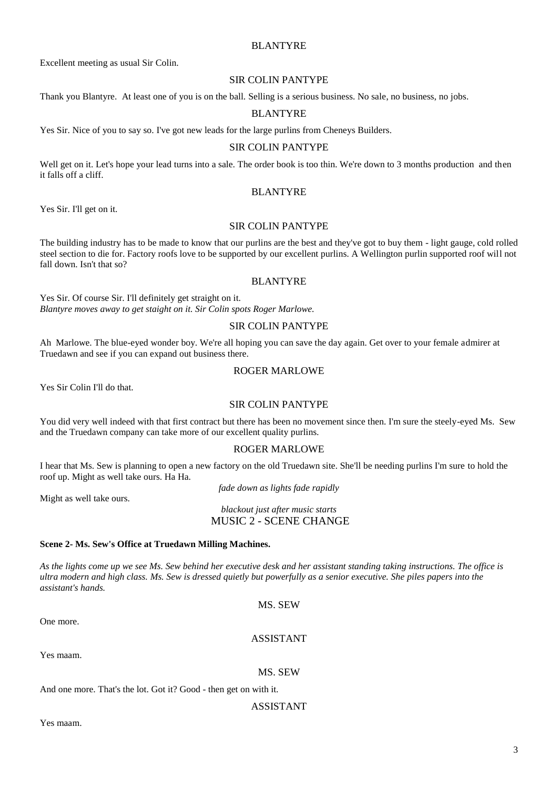# BLANTYRE

Excellent meeting as usual Sir Colin.

#### SIR COLIN PANTYPE

Thank you Blantyre. At least one of you is on the ball. Selling is a serious business. No sale, no business, no jobs.

#### BLANTYRE

Yes Sir. Nice of you to say so. I've got new leads for the large purlins from Cheneys Builders.

#### SIR COLIN PANTYPE

Well get on it. Let's hope your lead turns into a sale. The order book is too thin. We're down to 3 months production and then it falls off a cliff.

#### BLANTYRE

Yes Sir. I'll get on it.

## SIR COLIN PANTYPE

The building industry has to be made to know that our purlins are the best and they've got to buy them - light gauge, cold rolled steel section to die for. Factory roofs love to be supported by our excellent purlins. A Wellington purlin supported roof will not fall down. Isn't that so?

#### BLANTYRE

Yes Sir. Of course Sir. I'll definitely get straight on it. *Blantyre moves away to get staight on it. Sir Colin spots Roger Marlowe.*

#### SIR COLIN PANTYPE

Ah Marlowe. The blue-eyed wonder boy. We're all hoping you can save the day again. Get over to your female admirer at Truedawn and see if you can expand out business there.

#### ROGER MARLOWE

Yes Sir Colin I'll do that.

#### SIR COLIN PANTYPE

You did very well indeed with that first contract but there has been no movement since then. I'm sure the steely-eyed Ms. Sew and the Truedawn company can take more of our excellent quality purlins.

#### ROGER MARLOWE

I hear that Ms. Sew is planning to open a new factory on the old Truedawn site. She'll be needing purlins I'm sure to hold the roof up. Might as well take ours. Ha Ha.

*fade down as lights fade rapidly*

Might as well take ours.

*blackout just after music starts* MUSIC 2 - SCENE CHANGE

#### **Scene 2- Ms. Sew's Office at Truedawn Milling Machines.**

*As the lights come up we see Ms. Sew behind her executive desk and her assistant standing taking instructions. The office is ultra modern and high class. Ms. Sew is dressed quietly but powerfully as a senior executive. She piles papers into the assistant's hands.*

MS. SEW

One more.

#### ASSISTANT

Yes maam.

#### MS. SEW

And one more. That's the lot. Got it? Good - then get on with it.

#### ASSISTANT

Yes maam.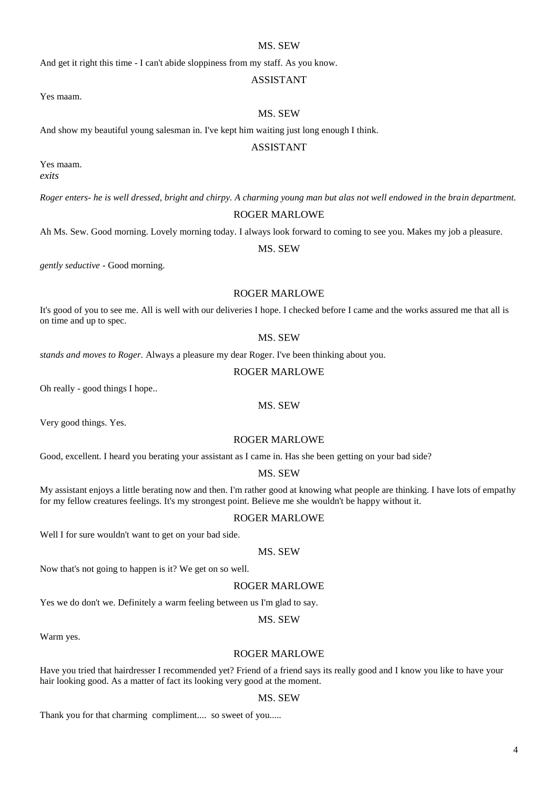# MS. SEW

And get it right this time - I can't abide sloppiness from my staff. As you know.

# ASSISTANT

Yes maam.

#### MS. SEW

And show my beautiful young salesman in. I've kept him waiting just long enough I think.

#### ASSISTANT

Yes maam. *exits*

*Roger enters- he is well dressed, bright and chirpy. A charming young man but alas not well endowed in the brain department.*

#### ROGER MARLOWE

Ah Ms. Sew. Good morning. Lovely morning today. I always look forward to coming to see you. Makes my job a pleasure.

#### MS. SEW

*gently seductive -* Good morning.

#### ROGER MARLOWE

It's good of you to see me. All is well with our deliveries I hope. I checked before I came and the works assured me that all is on time and up to spec.

#### MS. SEW

*stands and moves to Roger.* Always a pleasure my dear Roger. I've been thinking about you.

#### ROGER MARLOWE

Oh really - good things I hope..

#### MS. SEW

Very good things. Yes.

### ROGER MARLOWE

Good, excellent. I heard you berating your assistant as I came in. Has she been getting on your bad side?

#### MS. SEW

My assistant enjoys a little berating now and then. I'm rather good at knowing what people are thinking. I have lots of empathy for my fellow creatures feelings. It's my strongest point. Believe me she wouldn't be happy without it.

#### ROGER MARLOWE

Well I for sure wouldn't want to get on your bad side.

# MS. SEW

Now that's not going to happen is it? We get on so well.

#### ROGER MARLOWE

Yes we do don't we. Definitely a warm feeling between us I'm glad to say.

#### MS. SEW

Warm yes.

#### ROGER MARLOWE

Have you tried that hairdresser I recommended yet? Friend of a friend says its really good and I know you like to have your hair looking good. As a matter of fact its looking very good at the moment.

#### MS. SEW

Thank you for that charming compliment.... so sweet of you.....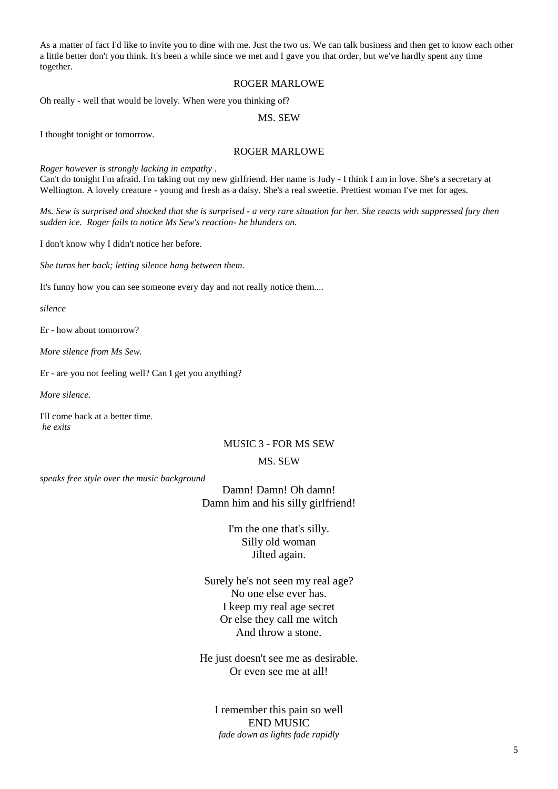As a matter of fact I'd like to invite you to dine with me. Just the two us. We can talk business and then get to know each other a little better don't you think. It's been a while since we met and I gave you that order, but we've hardly spent any time together.

#### ROGER MARLOWE

Oh really - well that would be lovely. When were you thinking of?

MS. SEW

I thought tonight or tomorrow.

#### ROGER MARLOWE

*Roger however is strongly lacking in empathy .*

Can't do tonight I'm afraid. I'm taking out my new girlfriend. Her name is Judy - I think I am in love. She's a secretary at Wellington. A lovely creature - young and fresh as a daisy. She's a real sweetie. Prettiest woman I've met for ages.

*Ms. Sew is surprised and shocked that she is surprised - a very rare situation for her. She reacts with suppressed fury then sudden ice. Roger fails to notice Ms Sew's reaction- he blunders on.*

I don't know why I didn't notice her before.

*She turns her back; letting silence hang between them*.

It's funny how you can see someone every day and not really notice them....

*silence*

Er - how about tomorrow?

*More silence from Ms Sew.*

Er - are you not feeling well? Can I get you anything?

*More silence.*

I'll come back at a better time. *he exits*

#### MUSIC 3 - FOR MS SEW

#### MS. SEW

*speaks free style over the music background* 

Damn! Damn! Oh damn! Damn him and his silly girlfriend!

> I'm the one that's silly. Silly old woman Jilted again.

Surely he's not seen my real age? No one else ever has. I keep my real age secret Or else they call me witch And throw a stone.

He just doesn't see me as desirable. Or even see me at all!

I remember this pain so well END MUSIC *fade down as lights fade rapidly*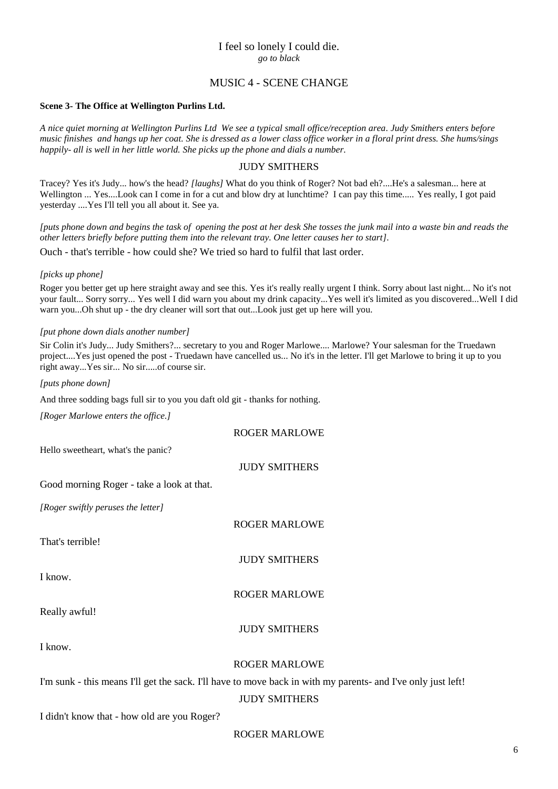# I feel so lonely I could die. *go to black*

# MUSIC 4 - SCENE CHANGE

#### **Scene 3- The Office at Wellington Purlins Ltd.**

*A nice quiet morning at Wellington Purlins Ltd We see a typical small office/reception area. Judy Smithers enters before music finishes and hangs up her coat. She is dressed as a lower class office worker in a floral print dress. She hums/sings happily- all is well in her little world. She picks up the phone and dials a number.*

#### JUDY SMITHERS

Tracey? Yes it's Judy... how's the head? *[laughs]* What do you think of Roger? Not bad eh?....He's a salesman... here at Wellington ... Yes....Look can I come in for a cut and blow dry at lunchtime? I can pay this time..... Yes really, I got paid yesterday ....Yes I'll tell you all about it. See ya.

*[puts phone down and begins the task of opening the post at her desk She tosses the junk mail into a waste bin and reads the other letters briefly before putting them into the relevant tray. One letter causes her to start].*

Ouch - that's terrible - how could she? We tried so hard to fulfil that last order.

#### *[picks up phone]*

Roger you better get up here straight away and see this. Yes it's really really urgent I think. Sorry about last night... No it's not your fault... Sorry sorry... Yes well I did warn you about my drink capacity...Yes well it's limited as you discovered...Well I did warn you...Oh shut up - the dry cleaner will sort that out...Look just get up here will you.

#### *[put phone down dials another number]*

Sir Colin it's Judy... Judy Smithers?... secretary to you and Roger Marlowe.... Marlowe? Your salesman for the Truedawn project....Yes just opened the post - Truedawn have cancelled us... No it's in the letter. I'll get Marlowe to bring it up to you right away...Yes sir... No sir.....of course sir.

*[puts phone down]*

And three sodding bags full sir to you you daft old git - thanks for nothing.

| [Roger Marlowe enters the office.]          |                                                                                                              |
|---------------------------------------------|--------------------------------------------------------------------------------------------------------------|
|                                             | <b>ROGER MARLOWE</b>                                                                                         |
| Hello sweetheart, what's the panic?         |                                                                                                              |
|                                             | <b>JUDY SMITHERS</b>                                                                                         |
| Good morning Roger - take a look at that.   |                                                                                                              |
| [Roger swiftly peruses the letter]          |                                                                                                              |
|                                             | <b>ROGER MARLOWE</b>                                                                                         |
| That's terrible!                            |                                                                                                              |
|                                             | <b>JUDY SMITHERS</b>                                                                                         |
| I know.                                     |                                                                                                              |
|                                             | <b>ROGER MARLOWE</b>                                                                                         |
| Really awful!                               |                                                                                                              |
|                                             | <b>JUDY SMITHERS</b>                                                                                         |
| I know.                                     |                                                                                                              |
|                                             | <b>ROGER MARLOWE</b>                                                                                         |
|                                             | I'm sunk - this means I'll get the sack. I'll have to move back in with my parents- and I've only just left! |
|                                             | <b>JUDY SMITHERS</b>                                                                                         |
| I didn't know that - how old are you Roger? |                                                                                                              |

# ROGER MARLOWE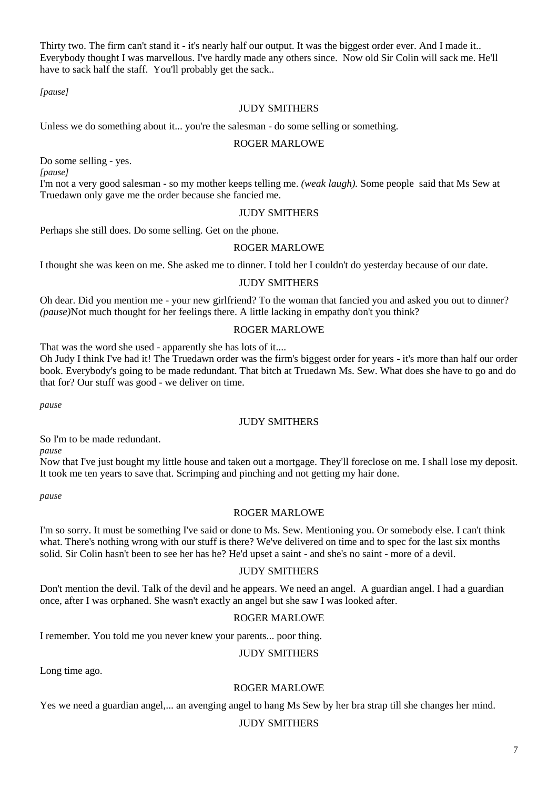Thirty two. The firm can't stand it - it's nearly half our output. It was the biggest order ever. And I made it.. Everybody thought I was marvellous. I've hardly made any others since. Now old Sir Colin will sack me. He'll have to sack half the staff. You'll probably get the sack..

*[pause]* 

#### JUDY SMITHERS

Unless we do something about it... you're the salesman - do some selling or something.

## ROGER MARLOWE

Do some selling - yes.

*[pause]*

I'm not a very good salesman - so my mother keeps telling me. *(weak laugh).* Some people said that Ms Sew at Truedawn only gave me the order because she fancied me.

# JUDY SMITHERS

Perhaps she still does. Do some selling. Get on the phone.

#### ROGER MARLOWE

I thought she was keen on me. She asked me to dinner. I told her I couldn't do yesterday because of our date.

# JUDY SMITHERS

Oh dear. Did you mention me - your new girlfriend? To the woman that fancied you and asked you out to dinner? *(pause)*Not much thought for her feelings there. A little lacking in empathy don't you think?

# ROGER MARLOWE

That was the word she used - apparently she has lots of it....

Oh Judy I think I've had it! The Truedawn order was the firm's biggest order for years - it's more than half our order book. Everybody's going to be made redundant. That bitch at Truedawn Ms. Sew. What does she have to go and do that for? Our stuff was good - we deliver on time.

*pause*

# JUDY SMITHERS

So I'm to be made redundant.

*pause*

Now that I've just bought my little house and taken out a mortgage. They'll foreclose on me. I shall lose my deposit. It took me ten years to save that. Scrimping and pinching and not getting my hair done.

*pause*

# ROGER MARLOWE

I'm so sorry. It must be something I've said or done to Ms. Sew. Mentioning you. Or somebody else. I can't think what. There's nothing wrong with our stuff is there? We've delivered on time and to spec for the last six months solid. Sir Colin hasn't been to see her has he? He'd upset a saint - and she's no saint - more of a devil.

#### JUDY SMITHERS

Don't mention the devil. Talk of the devil and he appears. We need an angel. A guardian angel. I had a guardian once, after I was orphaned. She wasn't exactly an angel but she saw I was looked after.

# ROGER MARLOWE

I remember. You told me you never knew your parents... poor thing.

# JUDY SMITHERS

Long time ago.

# ROGER MARLOWE

Yes we need a guardian angel,... an avenging angel to hang Ms Sew by her bra strap till she changes her mind.

# JUDY SMITHERS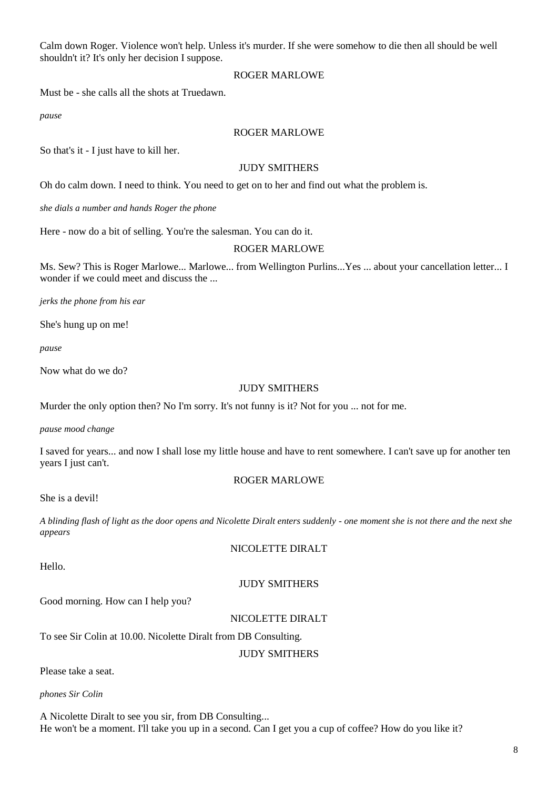Calm down Roger. Violence won't help. Unless it's murder. If she were somehow to die then all should be well shouldn't it? It's only her decision I suppose.

#### ROGER MARLOWE

Must be - she calls all the shots at Truedawn.

*pause*

# ROGER MARLOWE

So that's it - I just have to kill her.

# JUDY SMITHERS

Oh do calm down. I need to think. You need to get on to her and find out what the problem is.

*she dials a number and hands Roger the phone*

Here - now do a bit of selling. You're the salesman. You can do it.

#### ROGER MARLOWE

Ms. Sew? This is Roger Marlowe... Marlowe... from Wellington Purlins...Yes ... about your cancellation letter... I wonder if we could meet and discuss the ...

*jerks the phone from his ear*

She's hung up on me!

*pause*

Now what do we do?

# JUDY SMITHERS

Murder the only option then? No I'm sorry. It's not funny is it? Not for you ... not for me.

*pause mood change*

I saved for years... and now I shall lose my little house and have to rent somewhere. I can't save up for another ten years I just can't.

#### ROGER MARLOWE

She is a devil!

*A blinding flash of light as the door opens and Nicolette Diralt enters suddenly - one moment she is not there and the next she appears*

NICOLETTE DIRALT

Hello.

# JUDY SMITHERS

Good morning. How can I help you?

# NICOLETTE DIRALT

To see Sir Colin at 10.00. Nicolette Diralt from DB Consulting.

# JUDY SMITHERS

Please take a seat.

*phones Sir Colin*

A Nicolette Diralt to see you sir, from DB Consulting... He won't be a moment. I'll take you up in a second. Can I get you a cup of coffee? How do you like it?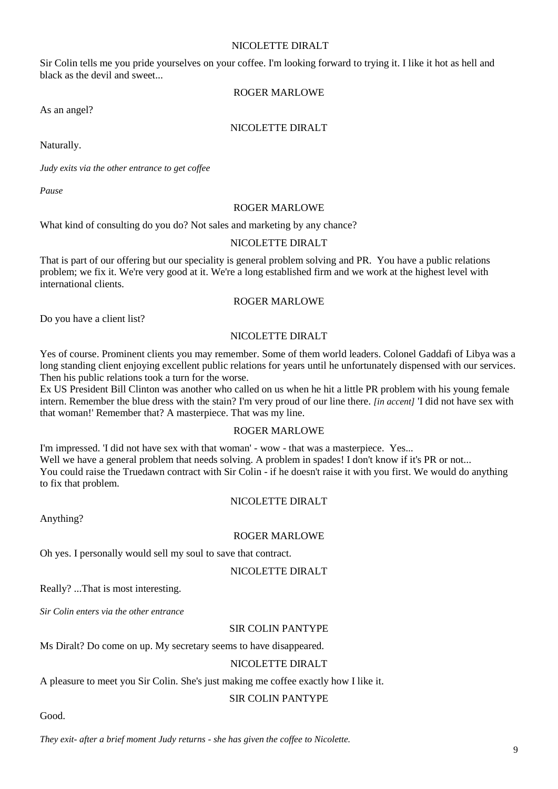## NICOLETTE DIRALT

Sir Colin tells me you pride yourselves on your coffee. I'm looking forward to trying it. I like it hot as hell and black as the devil and sweet...

# ROGER MARLOWE

As an angel?

# NICOLETTE DIRALT

Naturally.

*Judy exits via the other entrance to get coffee*

*Pause*

#### ROGER MARLOWE

What kind of consulting do you do? Not sales and marketing by any chance?

#### NICOLETTE DIRALT

That is part of our offering but our speciality is general problem solving and PR. You have a public relations problem; we fix it. We're very good at it. We're a long established firm and we work at the highest level with international clients.

# ROGER MARLOWE

Do you have a client list?

#### NICOLETTE DIRALT

Yes of course. Prominent clients you may remember. Some of them world leaders. Colonel Gaddafi of Libya was a long standing client enjoying excellent public relations for years until he unfortunately dispensed with our services. Then his public relations took a turn for the worse.

Ex US President Bill Clinton was another who called on us when he hit a little PR problem with his young female intern. Remember the blue dress with the stain? I'm very proud of our line there. *[in accent]* 'I did not have sex with that woman!' Remember that? A masterpiece. That was my line.

#### ROGER MARLOWE

I'm impressed. 'I did not have sex with that woman' - wow - that was a masterpiece. Yes... Well we have a general problem that needs solving. A problem in spades! I don't know if it's PR or not... You could raise the Truedawn contract with Sir Colin - if he doesn't raise it with you first. We would do anything to fix that problem.

#### NICOLETTE DIRALT

Anything?

#### ROGER MARLOWE

Oh yes. I personally would sell my soul to save that contract.

#### NICOLETTE DIRALT

Really? ...That is most interesting.

*Sir Colin enters via the other entrance*

#### SIR COLIN PANTYPE

Ms Diralt? Do come on up. My secretary seems to have disappeared.

#### NICOLETTE DIRALT

A pleasure to meet you Sir Colin. She's just making me coffee exactly how I like it.

#### SIR COLIN PANTYPE

Good.

*They exit- after a brief moment Judy returns - she has given the coffee to Nicolette.*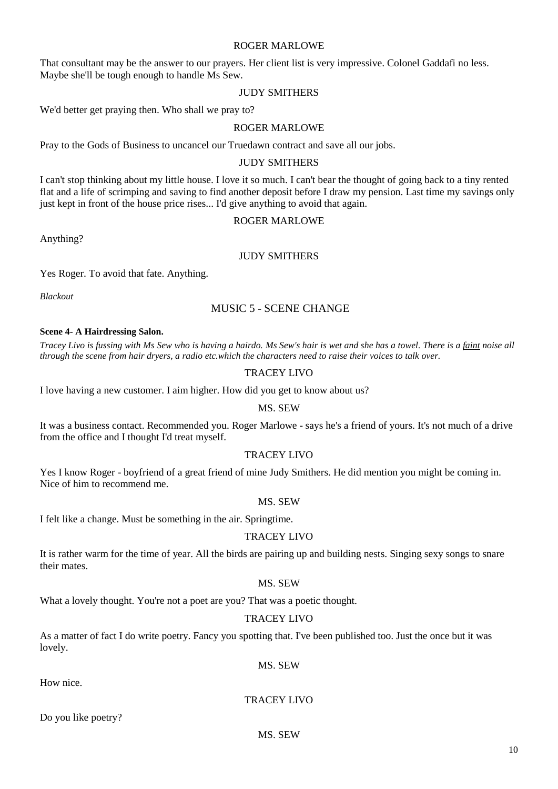#### ROGER MARLOWE

That consultant may be the answer to our prayers. Her client list is very impressive. Colonel Gaddafi no less. Maybe she'll be tough enough to handle Ms Sew.

#### JUDY SMITHERS

We'd better get praying then. Who shall we pray to?

#### ROGER MARLOWE

Pray to the Gods of Business to uncancel our Truedawn contract and save all our jobs.

#### JUDY SMITHERS

I can't stop thinking about my little house. I love it so much. I can't bear the thought of going back to a tiny rented flat and a life of scrimping and saving to find another deposit before I draw my pension. Last time my savings only just kept in front of the house price rises... I'd give anything to avoid that again.

#### ROGER MARLOWE

Anything?

#### JUDY SMITHERS

Yes Roger. To avoid that fate. Anything.

*Blackout*

# MUSIC 5 - SCENE CHANGE

#### **Scene 4- A Hairdressing Salon.**

*Tracey Livo is fussing with Ms Sew who is having a hairdo. Ms Sew's hair is wet and she has a towel. There is a faint noise all through the scene from hair dryers, a radio etc.which the characters need to raise their voices to talk over.*

#### TRACEY LIVO

I love having a new customer. I aim higher. How did you get to know about us?

# MS. SEW

It was a business contact. Recommended you. Roger Marlowe - says he's a friend of yours. It's not much of a drive from the office and I thought I'd treat myself.

#### TRACEY LIVO

Yes I know Roger - boyfriend of a great friend of mine Judy Smithers. He did mention you might be coming in. Nice of him to recommend me.

#### MS. SEW

I felt like a change. Must be something in the air. Springtime.

#### TRACEY LIVO

It is rather warm for the time of year. All the birds are pairing up and building nests. Singing sexy songs to snare their mates.

#### MS. SEW

What a lovely thought. You're not a poet are you? That was a poetic thought.

#### TRACEY LIVO

As a matter of fact I do write poetry. Fancy you spotting that. I've been published too. Just the once but it was lovely.

MS. SEW

How nice.

#### TRACEY LIVO

Do you like poetry?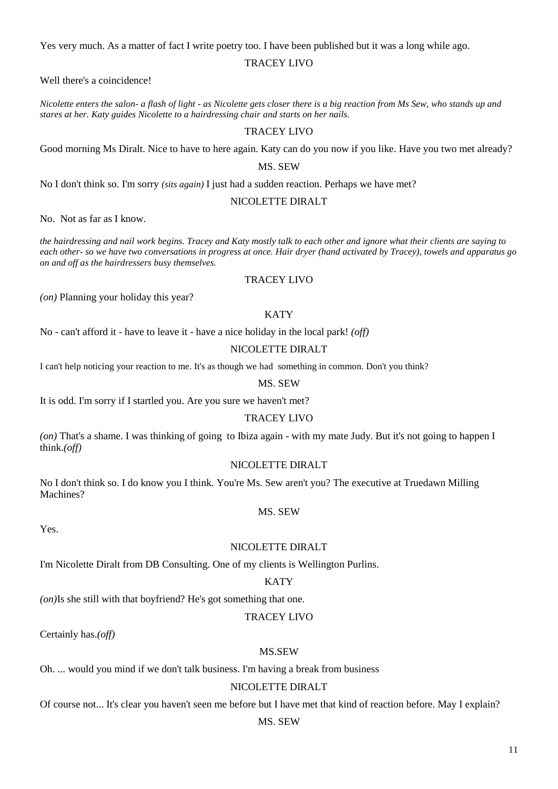Yes very much. As a matter of fact I write poetry too. I have been published but it was a long while ago.

#### TRACEY LIVO

Well there's a coincidence!

*Nicolette enters the salon- a flash of light - as Nicolette gets closer there is a big reaction from Ms Sew, who stands up and stares at her. Katy guides Nicolette to a hairdressing chair and starts on her nails.*

#### TRACEY LIVO

Good morning Ms Diralt. Nice to have to here again. Katy can do you now if you like. Have you two met already?

#### MS. SEW

No I don't think so. I'm sorry *(sits again)* I just had a sudden reaction. Perhaps we have met?

#### NICOLETTE DIRALT

No. Not as far as I know.

*the hairdressing and nail work begins. Tracey and Katy mostly talk to each other and ignore what their clients are saying to each other- so we have two conversations in progress at once. Hair dryer (hand activated by Tracey), towels and apparatus go on and off as the hairdressers busy themselves.*

#### TRACEY LIVO

*(on)* Planning your holiday this year?

# **KATY**

No - can't afford it - have to leave it - have a nice holiday in the local park! *(off)*

#### NICOLETTE DIRALT

I can't help noticing your reaction to me. It's as though we had something in common. Don't you think?

#### MS. SEW

It is odd. I'm sorry if I startled you. Are you sure we haven't met?

#### TRACEY LIVO

*(on)* That's a shame. I was thinking of going to Ibiza again - with my mate Judy. But it's not going to happen I think.*(off)*

#### NICOLETTE DIRALT

No I don't think so. I do know you I think. You're Ms. Sew aren't you? The executive at Truedawn Milling Machines?

MS. SEW

Yes.

#### NICOLETTE DIRALT

I'm Nicolette Diralt from DB Consulting. One of my clients is Wellington Purlins.

#### **KATY**

*(on)*Is she still with that boyfriend? He's got something that one.

#### TRACEY LIVO

Certainly has.*(off)*

#### MS.SEW

Oh. ... would you mind if we don't talk business. I'm having a break from business

#### NICOLETTE DIRALT

Of course not... It's clear you haven't seen me before but I have met that kind of reaction before. May I explain?

#### MS. SEW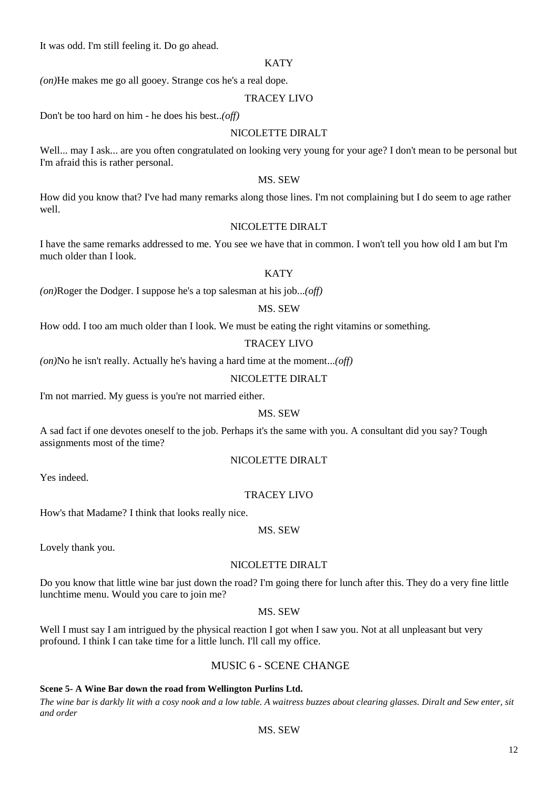It was odd. I'm still feeling it. Do go ahead.

#### **KATY**

*(on)*He makes me go all gooey. Strange cos he's a real dope.

# TRACEY LIVO

Don't be too hard on him - he does his best..*(off)*

# NICOLETTE DIRALT

Well... may I ask... are you often congratulated on looking very young for your age? I don't mean to be personal but I'm afraid this is rather personal.

# MS. SEW

How did you know that? I've had many remarks along those lines. I'm not complaining but I do seem to age rather well.

# NICOLETTE DIRALT

I have the same remarks addressed to me. You see we have that in common. I won't tell you how old I am but I'm much older than I look.

# **KATY**

*(on)*Roger the Dodger. I suppose he's a top salesman at his job...*(off)*

# MS. SEW

How odd. I too am much older than I look. We must be eating the right vitamins or something.

# TRACEY LIVO

*(on)*No he isn't really. Actually he's having a hard time at the moment...*(off)*

# NICOLETTE DIRALT

I'm not married. My guess is you're not married either.

# MS. SEW

A sad fact if one devotes oneself to the job. Perhaps it's the same with you. A consultant did you say? Tough assignments most of the time?

# NICOLETTE DIRALT

Yes indeed.

# TRACEY LIVO

How's that Madame? I think that looks really nice.

# MS. SEW

Lovely thank you.

# NICOLETTE DIRALT

Do you know that little wine bar just down the road? I'm going there for lunch after this. They do a very fine little lunchtime menu. Would you care to join me?

# MS. SEW

Well I must say I am intrigued by the physical reaction I got when I saw you. Not at all unpleasant but very profound. I think I can take time for a little lunch. I'll call my office.

# MUSIC 6 - SCENE CHANGE

# **Scene 5- A Wine Bar down the road from Wellington Purlins Ltd.**

*The wine bar is darkly lit with a cosy nook and a low table. A waitress buzzes about clearing glasses. Diralt and Sew enter, sit and order*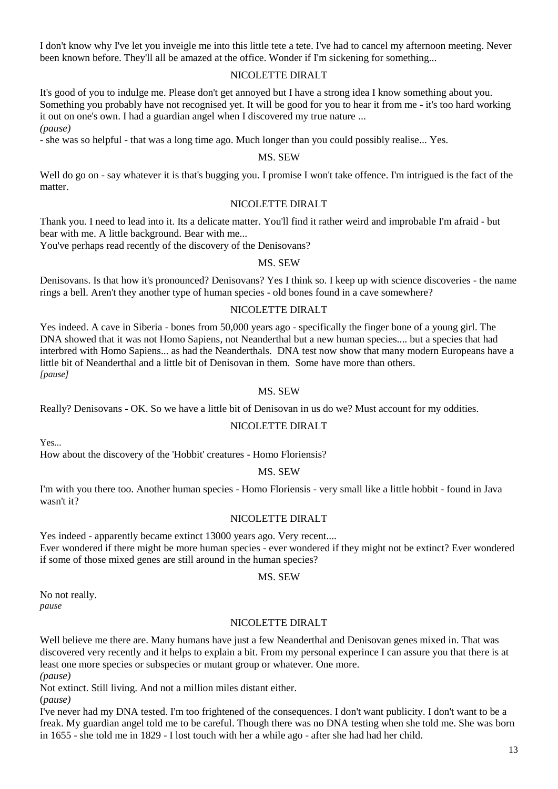I don't know why I've let you inveigle me into this little tete a tete. I've had to cancel my afternoon meeting. Never been known before. They'll all be amazed at the office. Wonder if I'm sickening for something...

#### NICOLETTE DIRALT

It's good of you to indulge me. Please don't get annoyed but I have a strong idea I know something about you. Something you probably have not recognised yet. It will be good for you to hear it from me - it's too hard working it out on one's own. I had a guardian angel when I discovered my true nature ... *(pause)*

- she was so helpful - that was a long time ago. Much longer than you could possibly realise... Yes.

#### MS. SEW

Well do go on - say whatever it is that's bugging you. I promise I won't take offence. I'm intrigued is the fact of the matter.

#### NICOLETTE DIRALT

Thank you. I need to lead into it. Its a delicate matter. You'll find it rather weird and improbable I'm afraid - but bear with me. A little background. Bear with me...

You've perhaps read recently of the discovery of the Denisovans?

#### MS. SEW

Denisovans. Is that how it's pronounced? Denisovans? Yes I think so. I keep up with science discoveries - the name rings a bell. Aren't they another type of human species - old bones found in a cave somewhere?

#### NICOLETTE DIRALT

Yes indeed. A cave in Siberia - bones from 50,000 years ago - specifically the finger bone of a young girl. The DNA showed that it was not Homo Sapiens, not Neanderthal but a new human species.... but a species that had interbred with Homo Sapiens... as had the Neanderthals. DNA test now show that many modern Europeans have a little bit of Neanderthal and a little bit of Denisovan in them. Some have more than others. *[pause]*

#### MS. SEW

Really? Denisovans - OK. So we have a little bit of Denisovan in us do we? Must account for my oddities.

# NICOLETTE DIRALT

 $Y_{\text{ex}}$ .

How about the discovery of the 'Hobbit' creatures - Homo Floriensis?

#### MS. SEW

I'm with you there too. Another human species - Homo Floriensis - very small like a little hobbit - found in Java wasn't it?

#### NICOLETTE DIRALT

Yes indeed - apparently became extinct 13000 years ago. Very recent.... Ever wondered if there might be more human species - ever wondered if they might not be extinct? Ever wondered if some of those mixed genes are still around in the human species?

#### MS. SEW

No not really. *pause*

#### NICOLETTE DIRALT

Well believe me there are. Many humans have just a few Neanderthal and Denisovan genes mixed in. That was discovered very recently and it helps to explain a bit. From my personal experince I can assure you that there is at least one more species or subspecies or mutant group or whatever. One more. *(pause)*

Not extinct. Still living. And not a million miles distant either.

(*pause)*

I've never had my DNA tested. I'm too frightened of the consequences. I don't want publicity. I don't want to be a freak. My guardian angel told me to be careful. Though there was no DNA testing when she told me. She was born in 1655 - she told me in 1829 - I lost touch with her a while ago - after she had had her child.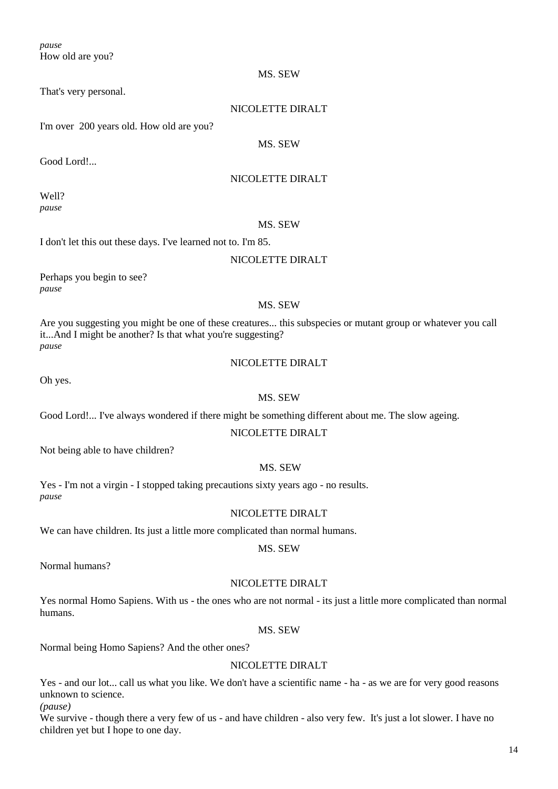*pause* How old are you?

That's very personal.

# NICOLETTE DIRALT

MS. SEW

I'm over 200 years old. How old are you?

MS. SEW

Good Lord!...

# NICOLETTE DIRALT

Well? *pause*

# MS. SEW

I don't let this out these days. I've learned not to. I'm 85.

# NICOLETTE DIRALT

Perhaps you begin to see? *pause*

# MS. SEW

Are you suggesting you might be one of these creatures... this subspecies or mutant group or whatever you call it...And I might be another? Is that what you're suggesting? *pause*

# NICOLETTE DIRALT

Oh yes.

# MS. SEW

Good Lord!... I've always wondered if there might be something different about me. The slow ageing.

# NICOLETTE DIRALT

Not being able to have children?

# MS. SEW

Yes - I'm not a virgin - I stopped taking precautions sixty years ago - no results. *pause*

# NICOLETTE DIRALT

We can have children. Its just a little more complicated than normal humans.

MS. SEW

Normal humans?

# NICOLETTE DIRALT

Yes normal Homo Sapiens. With us - the ones who are not normal - its just a little more complicated than normal humans.

# MS. SEW

Normal being Homo Sapiens? And the other ones?

# NICOLETTE DIRALT

Yes - and our lot... call us what you like. We don't have a scientific name - ha - as we are for very good reasons unknown to science.

*(pause)*

We survive - though there a very few of us - and have children - also very few. It's just a lot slower. I have no children yet but I hope to one day.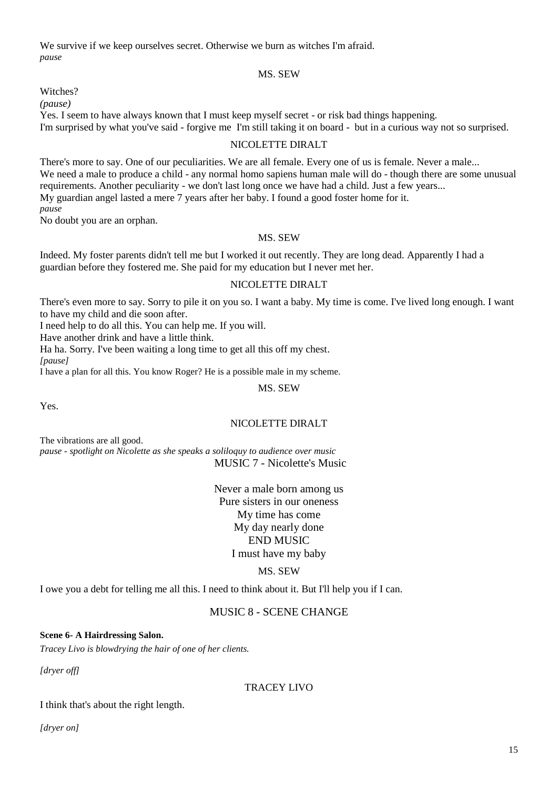We survive if we keep ourselves secret. Otherwise we burn as witches I'm afraid. *pause*

#### MS. SEW

Witches?

*(pause)*

Yes. I seem to have always known that I must keep myself secret - or risk bad things happening.

I'm surprised by what you've said - forgive me I'm still taking it on board - but in a curious way not so surprised.

# NICOLETTE DIRALT

There's more to say. One of our peculiarities. We are all female. Every one of us is female. Never a male... We need a male to produce a child - any normal homo sapiens human male will do - though there are some unusual requirements. Another peculiarity - we don't last long once we have had a child. Just a few years... My guardian angel lasted a mere 7 years after her baby. I found a good foster home for it. *pause*

No doubt you are an orphan.

# MS. SEW

Indeed. My foster parents didn't tell me but I worked it out recently. They are long dead. Apparently I had a guardian before they fostered me. She paid for my education but I never met her.

# NICOLETTE DIRALT

There's even more to say. Sorry to pile it on you so. I want a baby. My time is come. I've lived long enough. I want to have my child and die soon after.

I need help to do all this. You can help me. If you will.

Have another drink and have a little think.

Ha ha. Sorry. I've been waiting a long time to get all this off my chest.

*[pause]*

I have a plan for all this. You know Roger? He is a possible male in my scheme.

MS. SEW

Yes.

# NICOLETTE DIRALT

The vibrations are all good.

*pause - spotlight on Nicolette as she speaks a soliloquy to audience over music* MUSIC 7 - Nicolette's Music

> Never a male born among us Pure sisters in our oneness My time has come My day nearly done END MUSIC I must have my baby

# MS. SEW

I owe you a debt for telling me all this. I need to think about it. But I'll help you if I can.

# MUSIC 8 - SCENE CHANGE

# **Scene 6- A Hairdressing Salon.**

*Tracey Livo is blowdrying the hair of one of her clients.*

*[dryer off]*

# TRACEY LIVO

# I think that's about the right length.

*[dryer on]*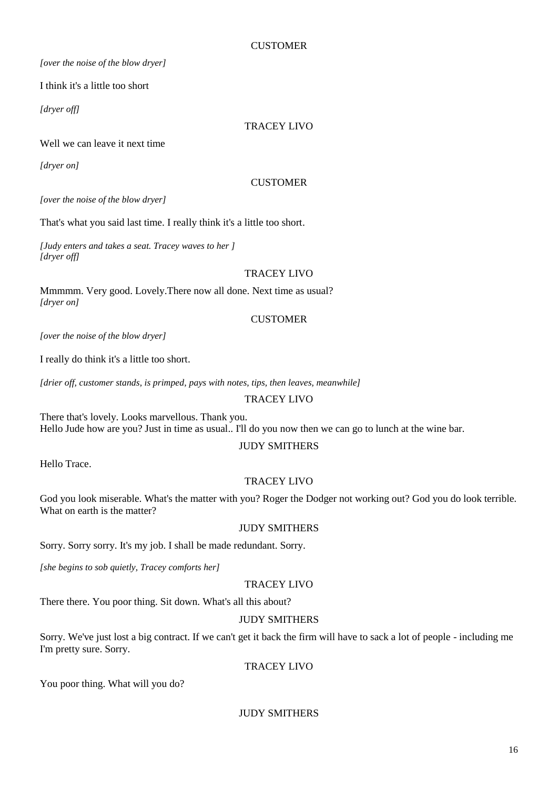# **CUSTOMER**

*[over the noise of the blow dryer]*

I think it's a little too short

*[dryer off]*

# TRACEY LIVO

# Well we can leave it next time

*[dryer on]*

# **CUSTOMER**

*[over the noise of the blow dryer]*

That's what you said last time. I really think it's a little too short.

*[Judy enters and takes a seat. Tracey waves to her ] [dryer off]*

# TRACEY LIVO

Mmmmm. Very good. Lovely.There now all done. Next time as usual? *[dryer on]*

# **CUSTOMER**

*[over the noise of the blow dryer]*

I really do think it's a little too short.

*[drier off, customer stands, is primped, pays with notes, tips, then leaves, meanwhile]*

# TRACEY LIVO

There that's lovely. Looks marvellous. Thank you. Hello Jude how are you? Just in time as usual.. I'll do you now then we can go to lunch at the wine bar.

# JUDY SMITHERS

Hello Trace.

# TRACEY LIVO

God you look miserable. What's the matter with you? Roger the Dodger not working out? God you do look terrible. What on earth is the matter?

# JUDY SMITHERS

Sorry. Sorry sorry. It's my job. I shall be made redundant. Sorry.

*[she begins to sob quietly, Tracey comforts her]*

# TRACEY LIVO

There there. You poor thing. Sit down. What's all this about?

# JUDY SMITHERS

Sorry. We've just lost a big contract. If we can't get it back the firm will have to sack a lot of people - including me I'm pretty sure. Sorry.

# TRACEY LIVO

You poor thing. What will you do?

# JUDY SMITHERS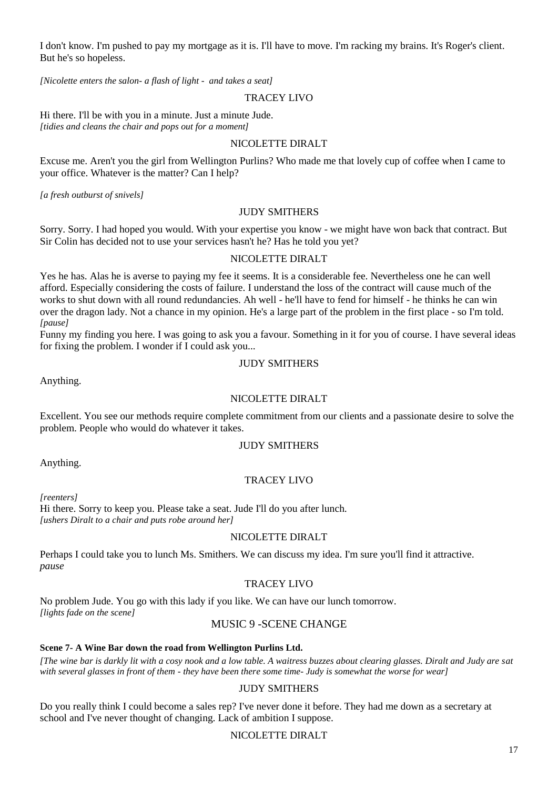I don't know. I'm pushed to pay my mortgage as it is. I'll have to move. I'm racking my brains. It's Roger's client. But he's so hopeless.

*[Nicolette enters the salon- a flash of light - and takes a seat]*

# TRACEY LIVO

Hi there. I'll be with you in a minute. Just a minute Jude. *[tidies and cleans the chair and pops out for a moment]*

# NICOLETTE DIRALT

Excuse me. Aren't you the girl from Wellington Purlins? Who made me that lovely cup of coffee when I came to your office. Whatever is the matter? Can I help?

*[a fresh outburst of snivels]*

# JUDY SMITHERS

Sorry. Sorry. I had hoped you would. With your expertise you know - we might have won back that contract. But Sir Colin has decided not to use your services hasn't he? Has he told you yet?

# NICOLETTE DIRALT

Yes he has. Alas he is averse to paying my fee it seems. It is a considerable fee. Nevertheless one he can well afford. Especially considering the costs of failure. I understand the loss of the contract will cause much of the works to shut down with all round redundancies. Ah well - he'll have to fend for himself - he thinks he can win over the dragon lady. Not a chance in my opinion. He's a large part of the problem in the first place - so I'm told. *[pause]*

Funny my finding you here. I was going to ask you a favour. Something in it for you of course. I have several ideas for fixing the problem. I wonder if I could ask you...

# JUDY SMITHERS

Anything.

# NICOLETTE DIRALT

Excellent. You see our methods require complete commitment from our clients and a passionate desire to solve the problem. People who would do whatever it takes.

# JUDY SMITHERS

Anything.

# TRACEY LIVO

*[reenters]*

Hi there. Sorry to keep you. Please take a seat. Jude I'll do you after lunch. *[ushers Diralt to a chair and puts robe around her]*

# NICOLETTE DIRALT

Perhaps I could take you to lunch Ms. Smithers. We can discuss my idea. I'm sure you'll find it attractive. *pause*

# TRACEY LIVO

No problem Jude. You go with this lady if you like. We can have our lunch tomorrow. *[lights fade on the scene]*

# MUSIC 9 -SCENE CHANGE

#### **Scene 7- A Wine Bar down the road from Wellington Purlins Ltd.**

*[The wine bar is darkly lit with a cosy nook and a low table. A waitress buzzes about clearing glasses. Diralt and Judy are sat with several glasses in front of them - they have been there some time- Judy is somewhat the worse for wear]*

# JUDY SMITHERS

Do you really think I could become a sales rep? I've never done it before. They had me down as a secretary at school and I've never thought of changing. Lack of ambition I suppose.

# NICOLETTE DIRALT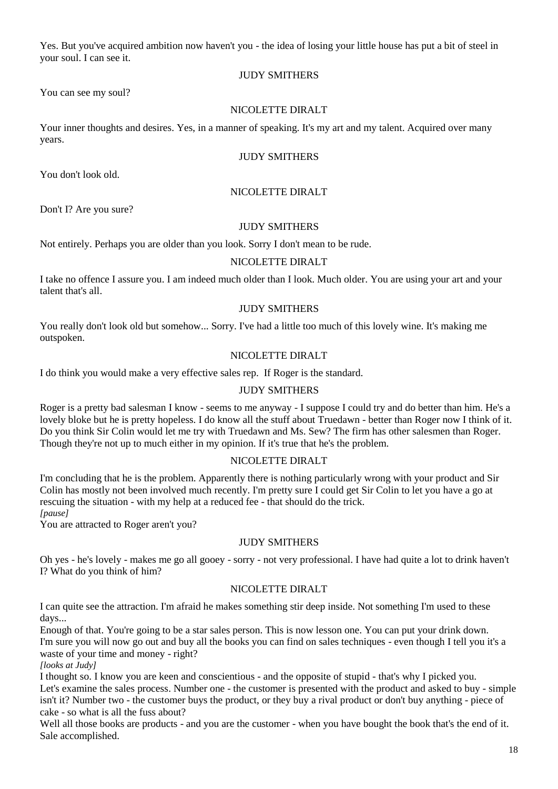Yes. But you've acquired ambition now haven't you - the idea of losing your little house has put a bit of steel in your soul. I can see it.

# JUDY SMITHERS

You can see my soul?

# NICOLETTE DIRALT

Your inner thoughts and desires. Yes, in a manner of speaking. It's my art and my talent. Acquired over many years.

# JUDY SMITHERS

You don't look old.

# NICOLETTE DIRALT

Don't I? Are you sure?

# JUDY SMITHERS

Not entirely. Perhaps you are older than you look. Sorry I don't mean to be rude.

# NICOLETTE DIRALT

I take no offence I assure you. I am indeed much older than I look. Much older. You are using your art and your talent that's all.

# JUDY SMITHERS

You really don't look old but somehow... Sorry. I've had a little too much of this lovely wine. It's making me outspoken.

# NICOLETTE DIRALT

I do think you would make a very effective sales rep. If Roger is the standard.

# JUDY SMITHERS

Roger is a pretty bad salesman I know - seems to me anyway - I suppose I could try and do better than him. He's a lovely bloke but he is pretty hopeless. I do know all the stuff about Truedawn - better than Roger now I think of it. Do you think Sir Colin would let me try with Truedawn and Ms. Sew? The firm has other salesmen than Roger. Though they're not up to much either in my opinion. If it's true that he's the problem.

# NICOLETTE DIRALT

I'm concluding that he is the problem. Apparently there is nothing particularly wrong with your product and Sir Colin has mostly not been involved much recently. I'm pretty sure I could get Sir Colin to let you have a go at rescuing the situation - with my help at a reduced fee - that should do the trick.

*[pause]*

You are attracted to Roger aren't you?

# JUDY SMITHERS

Oh yes - he's lovely - makes me go all gooey - sorry - not very professional. I have had quite a lot to drink haven't I? What do you think of him?

# NICOLETTE DIRALT

I can quite see the attraction. I'm afraid he makes something stir deep inside. Not something I'm used to these days...

Enough of that. You're going to be a star sales person. This is now lesson one. You can put your drink down. I'm sure you will now go out and buy all the books you can find on sales techniques - even though I tell you it's a waste of your time and money - right?

*[looks at Judy]*

I thought so. I know you are keen and conscientious - and the opposite of stupid - that's why I picked you. Let's examine the sales process. Number one - the customer is presented with the product and asked to buy - simple isn't it? Number two - the customer buys the product, or they buy a rival product or don't buy anything - piece of cake - so what is all the fuss about?

Well all those books are products - and you are the customer - when you have bought the book that's the end of it. Sale accomplished.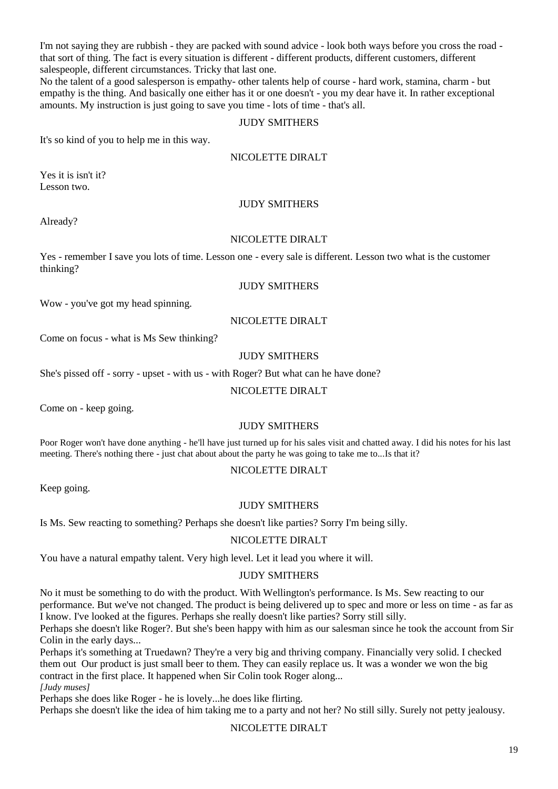I'm not saying they are rubbish - they are packed with sound advice - look both ways before you cross the road that sort of thing. The fact is every situation is different - different products, different customers, different salespeople, different circumstances. Tricky that last one.

No the talent of a good salesperson is empathy- other talents help of course - hard work, stamina, charm - but empathy is the thing. And basically one either has it or one doesn't - you my dear have it. In rather exceptional amounts. My instruction is just going to save you time - lots of time - that's all.

#### JUDY SMITHERS

It's so kind of you to help me in this way.

#### NICOLETTE DIRALT

Yes it is isn't it? Lesson two.

# JUDY SMITHERS

Already?

#### NICOLETTE DIRALT

Yes - remember I save you lots of time. Lesson one - every sale is different. Lesson two what is the customer thinking?

# JUDY SMITHERS

Wow - you've got my head spinning.

#### NICOLETTE DIRALT

Come on focus - what is Ms Sew thinking?

# JUDY SMITHERS

She's pissed off - sorry - upset - with us - with Roger? But what can he have done?

#### NICOLETTE DIRALT

Come on - keep going.

# JUDY SMITHERS

Poor Roger won't have done anything - he'll have just turned up for his sales visit and chatted away. I did his notes for his last meeting. There's nothing there - just chat about about the party he was going to take me to...Is that it?

# NICOLETTE DIRALT

Keep going.

# JUDY SMITHERS

Is Ms. Sew reacting to something? Perhaps she doesn't like parties? Sorry I'm being silly.

# NICOLETTE DIRALT

You have a natural empathy talent. Very high level. Let it lead you where it will.

# JUDY SMITHERS

No it must be something to do with the product. With Wellington's performance. Is Ms. Sew reacting to our performance. But we've not changed. The product is being delivered up to spec and more or less on time - as far as I know. I've looked at the figures. Perhaps she really doesn't like parties? Sorry still silly.

Perhaps she doesn't like Roger?. But she's been happy with him as our salesman since he took the account from Sir Colin in the early days...

Perhaps it's something at Truedawn? They're a very big and thriving company. Financially very solid. I checked them out Our product is just small beer to them. They can easily replace us. It was a wonder we won the big contract in the first place. It happened when Sir Colin took Roger along... *[Judy muses]*

Perhaps she does like Roger - he is lovely...he does like flirting.

Perhaps she doesn't like the idea of him taking me to a party and not her? No still silly. Surely not petty jealousy.

# NICOLETTE DIRALT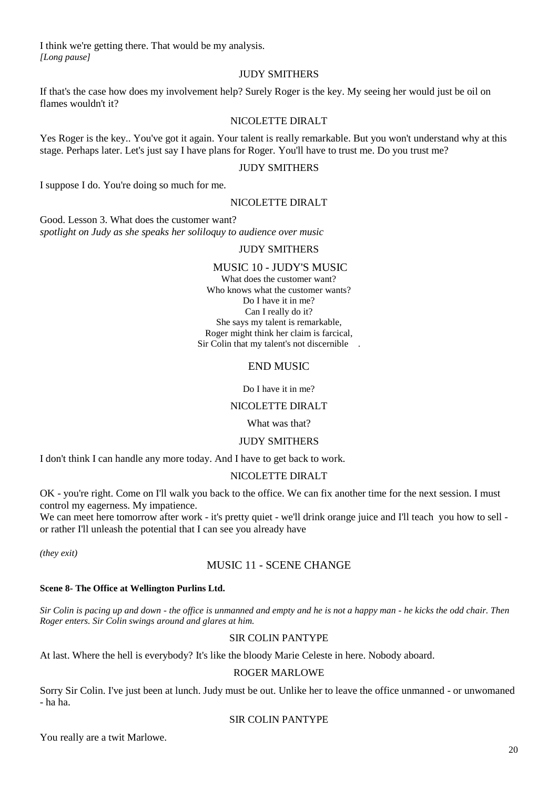I think we're getting there. That would be my analysis. *[Long pause]*

# JUDY SMITHERS

If that's the case how does my involvement help? Surely Roger is the key. My seeing her would just be oil on flames wouldn't it?

# NICOLETTE DIRALT

Yes Roger is the key.. You've got it again. Your talent is really remarkable. But you won't understand why at this stage. Perhaps later. Let's just say I have plans for Roger. You'll have to trust me. Do you trust me?

# JUDY SMITHERS

I suppose I do. You're doing so much for me.

# NICOLETTE DIRALT

Good. Lesson 3. What does the customer want? *spotlight on Judy as she speaks her soliloquy to audience over music* 

# JUDY SMITHERS

# MUSIC 10 - JUDY'S MUSIC

What does the customer want? Who knows what the customer wants? Do I have it in me? Can I really do it? She says my talent is remarkable, Roger might think her claim is farcical, Sir Colin that my talent's not discernible .

# END MUSIC

Do I have it in me?

# NICOLETTE DIRALT

#### What was that?

# JUDY SMITHERS

I don't think I can handle any more today. And I have to get back to work.

# NICOLETTE DIRALT

OK - you're right. Come on I'll walk you back to the office. We can fix another time for the next session. I must control my eagerness. My impatience.

We can meet here tomorrow after work - it's pretty quiet - we'll drink orange juice and I'll teach you how to sell or rather I'll unleash the potential that I can see you already have

*(they exit)*

# MUSIC 11 - SCENE CHANGE

# **Scene 8- The Office at Wellington Purlins Ltd.**

*Sir Colin is pacing up and down - the office is unmanned and empty and he is not a happy man - he kicks the odd chair. Then Roger enters. Sir Colin swings around and glares at him.*

# SIR COLIN PANTYPE

At last. Where the hell is everybody? It's like the bloody Marie Celeste in here. Nobody aboard.

# ROGER MARLOWE

Sorry Sir Colin. I've just been at lunch. Judy must be out. Unlike her to leave the office unmanned - or unwomaned - ha ha.

# SIR COLIN PANTYPE

You really are a twit Marlowe.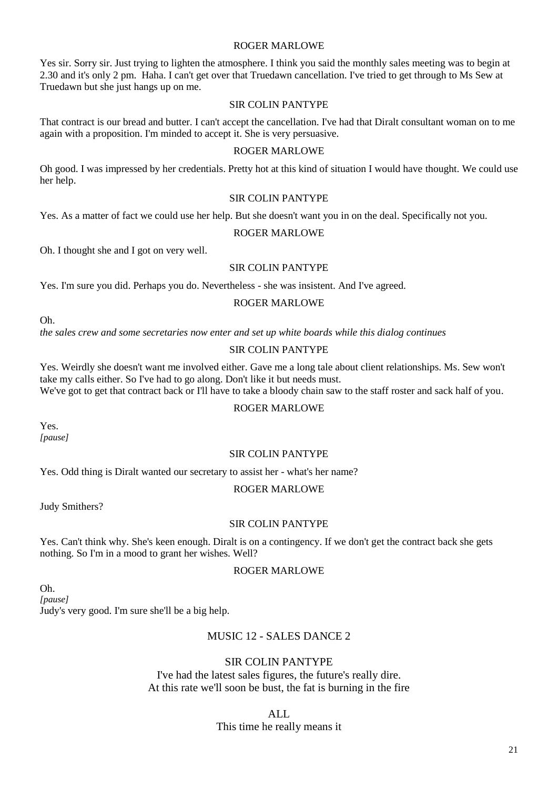# ROGER MARLOWE

Yes sir. Sorry sir. Just trying to lighten the atmosphere. I think you said the monthly sales meeting was to begin at 2.30 and it's only 2 pm. Haha. I can't get over that Truedawn cancellation. I've tried to get through to Ms Sew at Truedawn but she just hangs up on me.

# SIR COLIN PANTYPE

That contract is our bread and butter. I can't accept the cancellation. I've had that Diralt consultant woman on to me again with a proposition. I'm minded to accept it. She is very persuasive.

# ROGER MARLOWE

Oh good. I was impressed by her credentials. Pretty hot at this kind of situation I would have thought. We could use her help.

# SIR COLIN PANTYPE

Yes. As a matter of fact we could use her help. But she doesn't want you in on the deal. Specifically not you.

# ROGER MARLOWE

Oh. I thought she and I got on very well.

#### SIR COLIN PANTYPE

Yes. I'm sure you did. Perhaps you do. Nevertheless - she was insistent. And I've agreed.

#### ROGER MARLOWE

Oh.

*the sales crew and some secretaries now enter and set up white boards while this dialog continues*

#### SIR COLIN PANTYPE

Yes. Weirdly she doesn't want me involved either. Gave me a long tale about client relationships. Ms. Sew won't take my calls either. So I've had to go along. Don't like it but needs must.

We've got to get that contract back or I'll have to take a bloody chain saw to the staff roster and sack half of you.

# ROGER MARLOWE

Yes. *[pause]*

# SIR COLIN PANTYPE

Yes. Odd thing is Diralt wanted our secretary to assist her - what's her name?

#### ROGER MARLOWE

Judy Smithers?

# SIR COLIN PANTYPE

Yes. Can't think why. She's keen enough. Diralt is on a contingency. If we don't get the contract back she gets nothing. So I'm in a mood to grant her wishes. Well?

# ROGER MARLOWE

Oh. *[pause]* Judy's very good. I'm sure she'll be a big help.

# MUSIC 12 - SALES DANCE 2

# SIR COLIN PANTYPE

I've had the latest sales figures, the future's really dire. At this rate we'll soon be bust, the fat is burning in the fire

ALL

# This time he really means it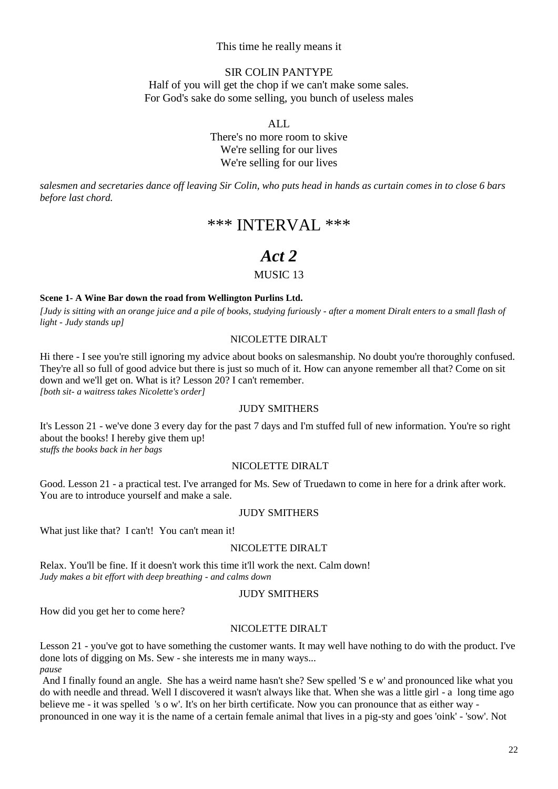# This time he really means it

# SIR COLIN PANTYPE

Half of you will get the chop if we can't make some sales. For God's sake do some selling, you bunch of useless males

ALL

There's no more room to skive We're selling for our lives We're selling for our lives

*salesmen and secretaries dance off leaving Sir Colin, who puts head in hands as curtain comes in to close 6 bars before last chord.*

# \*\*\* INTERVAL \*\*\*

# *Act 2*

# MUSIC 13

#### **Scene 1- A Wine Bar down the road from Wellington Purlins Ltd.**

*[Judy is sitting with an orange juice and a pile of books, studying furiously - after a moment Diralt enters to a small flash of light - Judy stands up]*

#### NICOLETTE DIRALT

Hi there - I see you're still ignoring my advice about books on salesmanship. No doubt you're thoroughly confused. They're all so full of good advice but there is just so much of it. How can anyone remember all that? Come on sit down and we'll get on. What is it? Lesson 20? I can't remember. *[both sit- a waitress takes Nicolette's order]*

# JUDY SMITHERS

It's Lesson 21 - we've done 3 every day for the past 7 days and I'm stuffed full of new information. You're so right about the books! I hereby give them up! *stuffs the books back in her bags*

# NICOLETTE DIRALT

Good. Lesson 21 - a practical test. I've arranged for Ms. Sew of Truedawn to come in here for a drink after work. You are to introduce yourself and make a sale.

#### JUDY SMITHERS

What just like that? I can't! You can't mean it!

# NICOLETTE DIRALT

Relax. You'll be fine. If it doesn't work this time it'll work the next. Calm down! *Judy makes a bit effort with deep breathing - and calms down*

#### JUDY SMITHERS

How did you get her to come here?

#### NICOLETTE DIRALT

Lesson 21 - you've got to have something the customer wants. It may well have nothing to do with the product. I've done lots of digging on Ms. Sew - she interests me in many ways... *pause*

And I finally found an angle. She has a weird name hasn't she? Sew spelled 'S e w' and pronounced like what you do with needle and thread. Well I discovered it wasn't always like that. When she was a little girl - a long time ago believe me - it was spelled 's o w'. It's on her birth certificate. Now you can pronounce that as either way pronounced in one way it is the name of a certain female animal that lives in a pig-sty and goes 'oink' - 'sow'. Not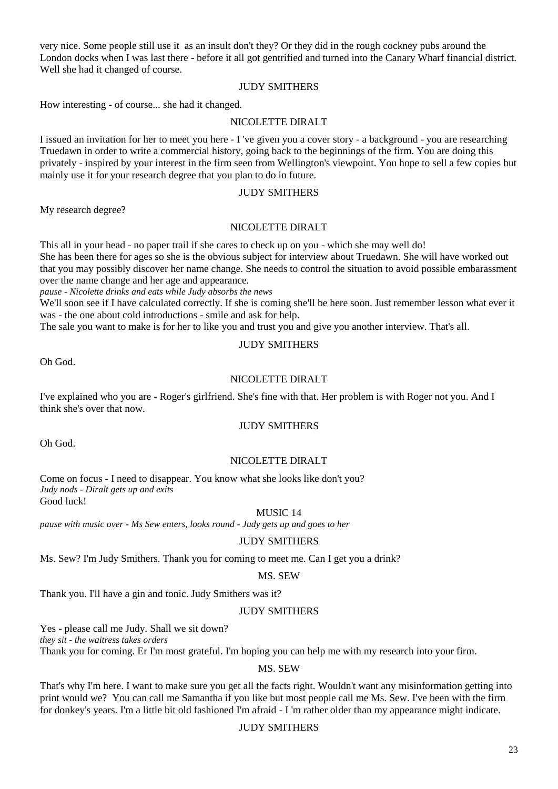very nice. Some people still use it as an insult don't they? Or they did in the rough cockney pubs around the London docks when I was last there - before it all got gentrified and turned into the Canary Wharf financial district. Well she had it changed of course.

# JUDY SMITHERS

How interesting - of course... she had it changed.

# NICOLETTE DIRALT

I issued an invitation for her to meet you here - I 've given you a cover story - a background - you are researching Truedawn in order to write a commercial history, going back to the beginnings of the firm. You are doing this privately - inspired by your interest in the firm seen from Wellington's viewpoint. You hope to sell a few copies but mainly use it for your research degree that you plan to do in future.

# JUDY SMITHERS

My research degree?

# NICOLETTE DIRALT

This all in your head - no paper trail if she cares to check up on you - which she may well do! She has been there for ages so she is the obvious subject for interview about Truedawn. She will have worked out that you may possibly discover her name change. She needs to control the situation to avoid possible embarassment over the name change and her age and appearance.

*pause - Nicolette drinks and eats while Judy absorbs the news*

We'll soon see if I have calculated correctly. If she is coming she'll be here soon. Just remember lesson what ever it was - the one about cold introductions - smile and ask for help.

The sale you want to make is for her to like you and trust you and give you another interview. That's all.

# JUDY SMITHERS

Oh God.

# NICOLETTE DIRALT

I've explained who you are - Roger's girlfriend. She's fine with that. Her problem is with Roger not you. And I think she's over that now.

# JUDY SMITHERS

Oh God.

# NICOLETTE DIRALT

Come on focus - I need to disappear. You know what she looks like don't you? *Judy nods - Diralt gets up and exits* Good luck!

MUSIC 14

*pause with music over - Ms Sew enters, looks round - Judy gets up and goes to her*

# JUDY SMITHERS

Ms. Sew? I'm Judy Smithers. Thank you for coming to meet me. Can I get you a drink?

# MS. SEW

Thank you. I'll have a gin and tonic. Judy Smithers was it?

# JUDY SMITHERS

Yes - please call me Judy. Shall we sit down?

*they sit - the waitress takes orders*

Thank you for coming. Er I'm most grateful. I'm hoping you can help me with my research into your firm.

# MS. SEW

That's why I'm here. I want to make sure you get all the facts right. Wouldn't want any misinformation getting into print would we? You can call me Samantha if you like but most people call me Ms. Sew. I've been with the firm for donkey's years. I'm a little bit old fashioned I'm afraid - I 'm rather older than my appearance might indicate.

# JUDY SMITHERS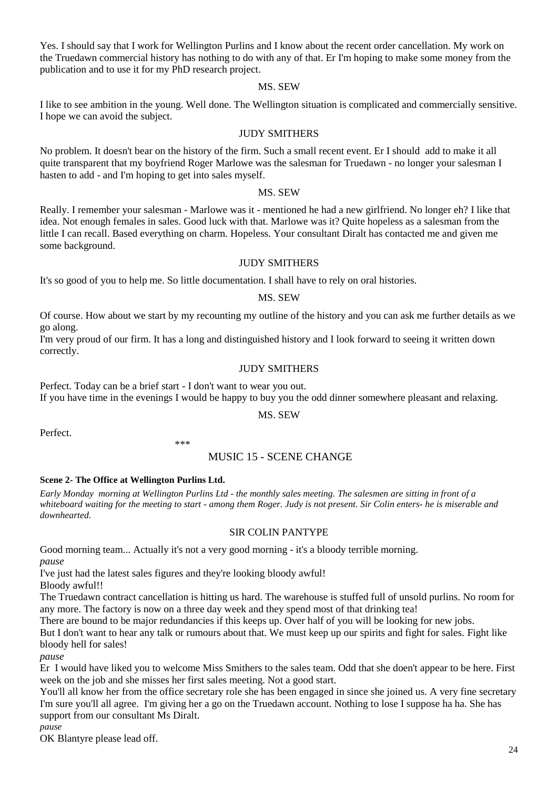Yes. I should say that I work for Wellington Purlins and I know about the recent order cancellation. My work on the Truedawn commercial history has nothing to do with any of that. Er I'm hoping to make some money from the publication and to use it for my PhD research project.

#### MS. SEW

I like to see ambition in the young. Well done. The Wellington situation is complicated and commercially sensitive. I hope we can avoid the subject.

#### JUDY SMITHERS

No problem. It doesn't bear on the history of the firm. Such a small recent event. Er I should add to make it all quite transparent that my boyfriend Roger Marlowe was the salesman for Truedawn - no longer your salesman I hasten to add - and I'm hoping to get into sales myself.

# MS. SEW

Really. I remember your salesman - Marlowe was it - mentioned he had a new girlfriend. No longer eh? I like that idea. Not enough females in sales. Good luck with that. Marlowe was it? Quite hopeless as a salesman from the little I can recall. Based everything on charm. Hopeless. Your consultant Diralt has contacted me and given me some background.

# JUDY SMITHERS

It's so good of you to help me. So little documentation. I shall have to rely on oral histories.

#### MS. SEW

Of course. How about we start by my recounting my outline of the history and you can ask me further details as we go along.

I'm very proud of our firm. It has a long and distinguished history and I look forward to seeing it written down correctly.

# JUDY SMITHERS

Perfect. Today can be a brief start - I don't want to wear you out. If you have time in the evenings I would be happy to buy you the odd dinner somewhere pleasant and relaxing.

#### MS. SEW

Perfect.

# MUSIC 15 - SCENE CHANGE

# **Scene 2- The Office at Wellington Purlins Ltd.**

*Early Monday morning at Wellington Purlins Ltd - the monthly sales meeting. The salesmen are sitting in front of a whiteboard waiting for the meeting to start - among them Roger. Judy is not present. Sir Colin enters- he is miserable and downhearted.*

#### SIR COLIN PANTYPE

Good morning team... Actually it's not a very good morning - it's a bloody terrible morning. *pause*

I've just had the latest sales figures and they're looking bloody awful! Bloody awful!!

\*\*\*

The Truedawn contract cancellation is hitting us hard. The warehouse is stuffed full of unsold purlins. No room for any more. The factory is now on a three day week and they spend most of that drinking tea!

There are bound to be major redundancies if this keeps up. Over half of you will be looking for new jobs.

But I don't want to hear any talk or rumours about that. We must keep up our spirits and fight for sales. Fight like bloody hell for sales!

*pause*

Er I would have liked you to welcome Miss Smithers to the sales team. Odd that she doen't appear to be here. First week on the job and she misses her first sales meeting. Not a good start.

You'll all know her from the office secretary role she has been engaged in since she joined us. A very fine secretary I'm sure you'll all agree. I'm giving her a go on the Truedawn account. Nothing to lose I suppose ha ha. She has support from our consultant Ms Diralt.

*pause*

OK Blantyre please lead off.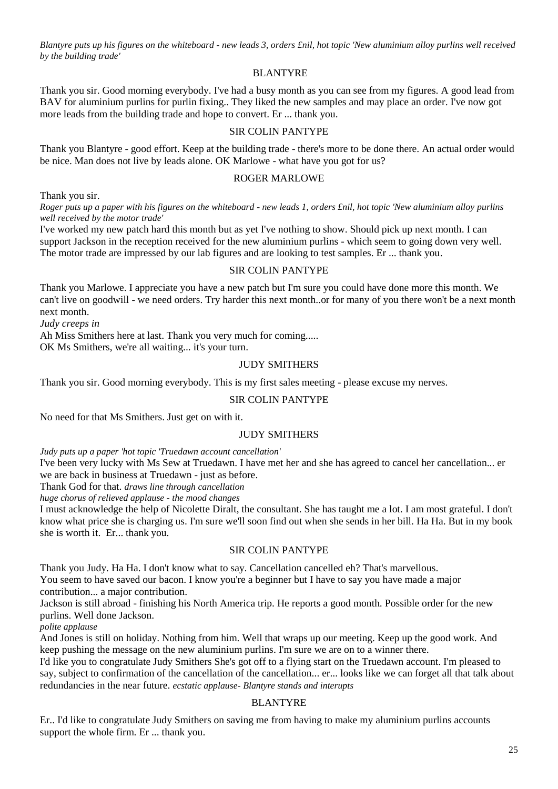*Blantyre puts up his figures on the whiteboard - new leads 3, orders £nil, hot topic 'New aluminium alloy purlins well received by the building trade'*

# BLANTYRE

Thank you sir. Good morning everybody. I've had a busy month as you can see from my figures. A good lead from BAV for aluminium purlins for purlin fixing.. They liked the new samples and may place an order. I've now got more leads from the building trade and hope to convert. Er ... thank you.

# SIR COLIN PANTYPE

Thank you Blantyre - good effort. Keep at the building trade - there's more to be done there. An actual order would be nice. Man does not live by leads alone. OK Marlowe - what have you got for us?

#### ROGER MARLOWE

Thank you sir.

*Roger puts up a paper with his figures on the whiteboard - new leads 1, orders £nil, hot topic 'New aluminium alloy purlins well received by the motor trade'*

I've worked my new patch hard this month but as yet I've nothing to show. Should pick up next month. I can support Jackson in the reception received for the new aluminium purlins - which seem to going down very well. The motor trade are impressed by our lab figures and are looking to test samples. Er ... thank you.

#### SIR COLIN PANTYPE

Thank you Marlowe. I appreciate you have a new patch but I'm sure you could have done more this month. We can't live on goodwill - we need orders. Try harder this next month..or for many of you there won't be a next month next month.

*Judy creeps in* 

Ah Miss Smithers here at last. Thank you very much for coming.....

OK Ms Smithers, we're all waiting... it's your turn.

# JUDY SMITHERS

Thank you sir. Good morning everybody. This is my first sales meeting - please excuse my nerves.

# SIR COLIN PANTYPE

No need for that Ms Smithers. Just get on with it.

# JUDY SMITHERS

*Judy puts up a paper 'hot topic 'Truedawn account cancellation'*

I've been very lucky with Ms Sew at Truedawn. I have met her and she has agreed to cancel her cancellation... er we are back in business at Truedawn - just as before.

Thank God for that. *draws line through cancellation*

*huge chorus of relieved applause - the mood changes*

I must acknowledge the help of Nicolette Diralt, the consultant. She has taught me a lot. I am most grateful. I don't know what price she is charging us. I'm sure we'll soon find out when she sends in her bill. Ha Ha. But in my book she is worth it. Er... thank you.

#### SIR COLIN PANTYPE

Thank you Judy. Ha Ha. I don't know what to say. Cancellation cancelled eh? That's marvellous. You seem to have saved our bacon. I know you're a beginner but I have to say you have made a major

contribution... a major contribution.

Jackson is still abroad - finishing his North America trip. He reports a good month. Possible order for the new purlins. Well done Jackson.

*polite applause*

And Jones is still on holiday. Nothing from him. Well that wraps up our meeting. Keep up the good work. And keep pushing the message on the new aluminium purlins. I'm sure we are on to a winner there.

I'd like you to congratulate Judy Smithers She's got off to a flying start on the Truedawn account. I'm pleased to say, subject to confirmation of the cancellation of the cancellation... er... looks like we can forget all that talk about redundancies in the near future. *ecstatic applause- Blantyre stands and interupts*

# BLANTYRE

Er.. I'd like to congratulate Judy Smithers on saving me from having to make my aluminium purlins accounts support the whole firm. Er ... thank you.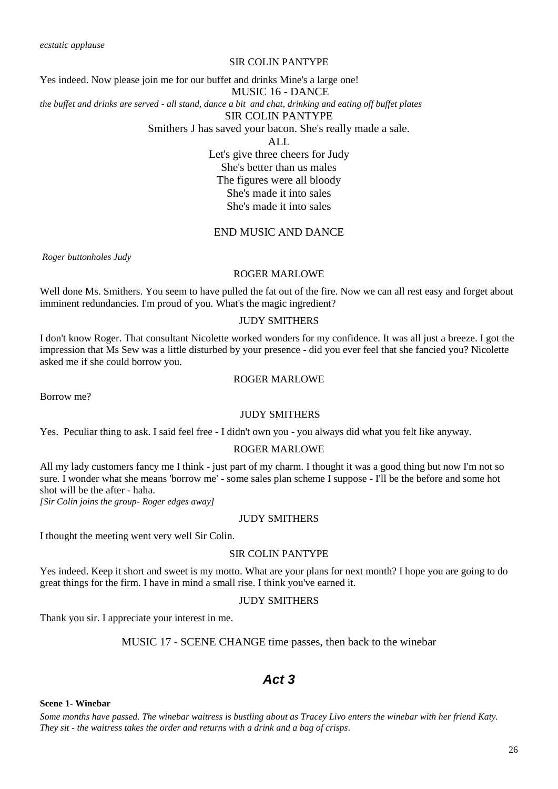# SIR COLIN PANTYPE

Yes indeed. Now please join me for our buffet and drinks Mine's a large one! MUSIC 16 - DANCE *the buffet and drinks are served - all stand, dance a bit and chat, drinking and eating off buffet plates* SIR COLIN PANTYPE Smithers J has saved your bacon. She's really made a sale. ALL

Let's give three cheers for Judy She's better than us males The figures were all bloody She's made it into sales She's made it into sales

# END MUSIC AND DANCE

*Roger buttonholes Judy*

#### ROGER MARLOWE

Well done Ms. Smithers. You seem to have pulled the fat out of the fire. Now we can all rest easy and forget about imminent redundancies. I'm proud of you. What's the magic ingredient?

# JUDY SMITHERS

I don't know Roger. That consultant Nicolette worked wonders for my confidence. It was all just a breeze. I got the impression that Ms Sew was a little disturbed by your presence - did you ever feel that she fancied you? Nicolette asked me if she could borrow you.

# ROGER MARLOWE

Borrow me?

#### JUDY SMITHERS

Yes. Peculiar thing to ask. I said feel free - I didn't own you - you always did what you felt like anyway.

#### ROGER MARLOWE

All my lady customers fancy me I think - just part of my charm. I thought it was a good thing but now I'm not so sure. I wonder what she means 'borrow me' - some sales plan scheme I suppose - I'll be the before and some hot shot will be the after - haha.

*[Sir Colin joins the group- Roger edges away]*

#### JUDY SMITHERS

I thought the meeting went very well Sir Colin.

#### SIR COLIN PANTYPE

Yes indeed. Keep it short and sweet is my motto. What are your plans for next month? I hope you are going to do great things for the firm. I have in mind a small rise. I think you've earned it.

#### JUDY SMITHERS

Thank you sir. I appreciate your interest in me.

#### MUSIC 17 - SCENE CHANGE time passes, then back to the winebar

# *Act 3*

# **Scene 1- Winebar**

*Some months have passed. The winebar waitress is bustling about as Tracey Livo enters the winebar with her friend Katy. They sit - the waitress takes the order and returns with a drink and a bag of crisps.*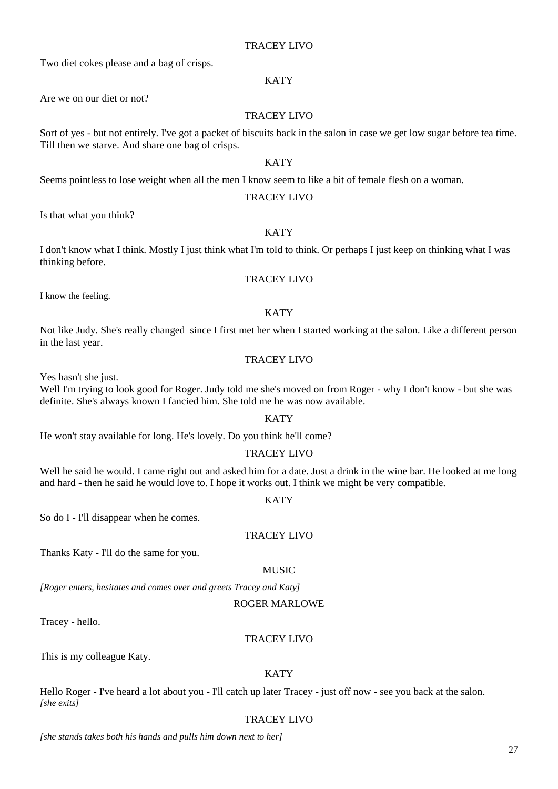# Hello Roger - I've heard a lot about you - I'll catch up later Tracey - just off now - see you back at the salon.

TRACEY LIVO

*[she stands takes both his hands and pulls him down next to her]*

# TRACEY LIVO

Two diet cokes please and a bag of crisps.

# **KATY**

Are we on our diet or not?

# TRACEY LIVO

Sort of yes - but not entirely. I've got a packet of biscuits back in the salon in case we get low sugar before tea time. Till then we starve. And share one bag of crisps.

# **KATY**

Seems pointless to lose weight when all the men I know seem to like a bit of female flesh on a woman.

# TRACEY LIVO

Is that what you think?

# **KATY**

I don't know what I think. Mostly I just think what I'm told to think. Or perhaps I just keep on thinking what I was thinking before.

# TRACEY LIVO

I know the feeling.

# **KATY**

Not like Judy. She's really changed since I first met her when I started working at the salon. Like a different person in the last year.

# TRACEY LIVO

Yes hasn't she just.

Well I'm trying to look good for Roger. Judy told me she's moved on from Roger - why I don't know - but she was definite. She's always known I fancied him. She told me he was now available.

# **KATY**

He won't stay available for long. He's lovely. Do you think he'll come?

# TRACEY LIVO

Well he said he would. I came right out and asked him for a date. Just a drink in the wine bar. He looked at me long and hard - then he said he would love to. I hope it works out. I think we might be very compatible.

# **KATY**

So do I - I'll disappear when he comes.

# TRACEY LIVO

Thanks Katy - I'll do the same for you.

# MUSIC

*[Roger enters, hesitates and comes over and greets Tracey and Katy]*

# ROGER MARLOWE

Tracey - hello.

*[she exits]*

# TRACEY LIVO

This is my colleague Katy.

# **KATY**

27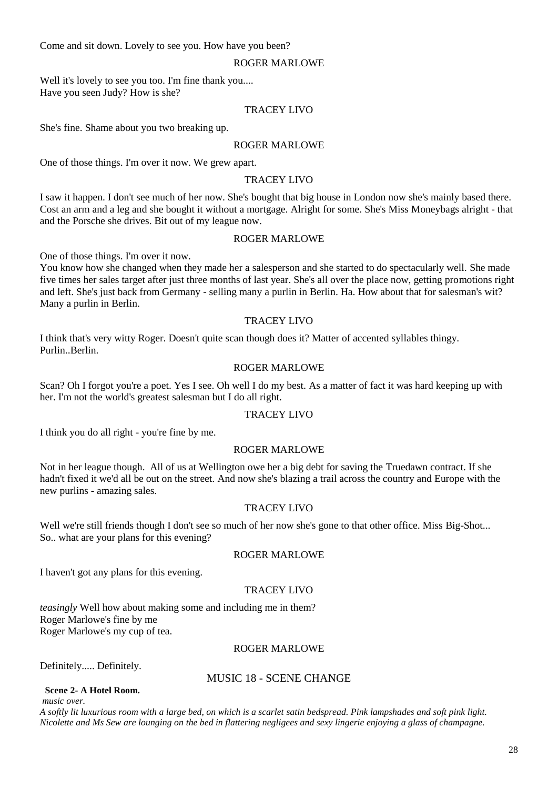Come and sit down. Lovely to see you. How have you been?

#### ROGER MARLOWE

Well it's lovely to see you too. I'm fine thank you.... Have you seen Judy? How is she?

#### TRACEY LIVO

She's fine. Shame about you two breaking up.

#### ROGER MARLOWE

One of those things. I'm over it now. We grew apart.

# TRACEY LIVO

I saw it happen. I don't see much of her now. She's bought that big house in London now she's mainly based there. Cost an arm and a leg and she bought it without a mortgage. Alright for some. She's Miss Moneybags alright - that and the Porsche she drives. Bit out of my league now.

#### ROGER MARLOWE

One of those things. I'm over it now.

You know how she changed when they made her a salesperson and she started to do spectacularly well. She made five times her sales target after just three months of last year. She's all over the place now, getting promotions right and left. She's just back from Germany - selling many a purlin in Berlin. Ha. How about that for salesman's wit? Many a purlin in Berlin.

#### TRACEY LIVO

I think that's very witty Roger. Doesn't quite scan though does it? Matter of accented syllables thingy. Purlin..Berlin.

# ROGER MARLOWE

Scan? Oh I forgot you're a poet. Yes I see. Oh well I do my best. As a matter of fact it was hard keeping up with her. I'm not the world's greatest salesman but I do all right.

#### TRACEY LIVO

I think you do all right - you're fine by me.

# ROGER MARLOWE

Not in her league though. All of us at Wellington owe her a big debt for saving the Truedawn contract. If she hadn't fixed it we'd all be out on the street. And now she's blazing a trail across the country and Europe with the new purlins - amazing sales.

# TRACEY LIVO

Well we're still friends though I don't see so much of her now she's gone to that other office. Miss Big-Shot... So.. what are your plans for this evening?

#### ROGER MARLOWE

I haven't got any plans for this evening.

# TRACEY LIVO

*teasingly* Well how about making some and including me in them? Roger Marlowe's fine by me Roger Marlowe's my cup of tea.

#### ROGER MARLOWE

Definitely..... Definitely.

# MUSIC 18 - SCENE CHANGE

 **Scene 2- A Hotel Room.** *music over.*

*A softly lit luxurious room with a large bed, on which is a scarlet satin bedspread. Pink lampshades and soft pink light. Nicolette and Ms Sew are lounging on the bed in flattering negligees and sexy lingerie enjoying a glass of champagne.*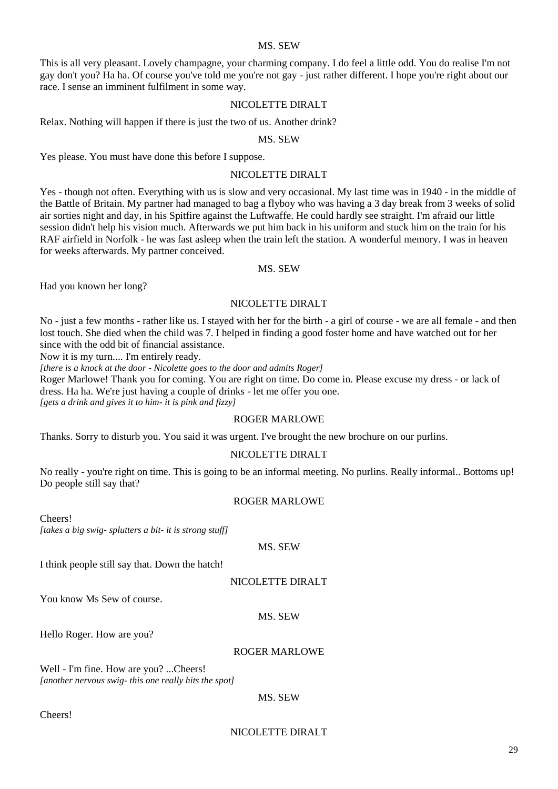#### MS. SEW

This is all very pleasant. Lovely champagne, your charming company. I do feel a little odd. You do realise I'm not gay don't you? Ha ha. Of course you've told me you're not gay - just rather different. I hope you're right about our race. I sense an imminent fulfilment in some way.

#### NICOLETTE DIRALT

Relax. Nothing will happen if there is just the two of us. Another drink?

#### MS. SEW

Yes please. You must have done this before I suppose.

#### NICOLETTE DIRALT

Yes - though not often. Everything with us is slow and very occasional. My last time was in 1940 - in the middle of the Battle of Britain. My partner had managed to bag a flyboy who was having a 3 day break from 3 weeks of solid air sorties night and day, in his Spitfire against the Luftwaffe. He could hardly see straight. I'm afraid our little session didn't help his vision much. Afterwards we put him back in his uniform and stuck him on the train for his RAF airfield in Norfolk - he was fast asleep when the train left the station. A wonderful memory. I was in heaven for weeks afterwards. My partner conceived.

#### MS. SEW

Had you known her long?

# NICOLETTE DIRALT

No - just a few months - rather like us. I stayed with her for the birth - a girl of course - we are all female - and then lost touch. She died when the child was 7. I helped in finding a good foster home and have watched out for her since with the odd bit of financial assistance.

Now it is my turn.... I'm entirely ready.

*[there is a knock at the door - Nicolette goes to the door and admits Roger]*

Roger Marlowe! Thank you for coming. You are right on time. Do come in. Please excuse my dress - or lack of dress. Ha ha. We're just having a couple of drinks - let me offer you one.

*[gets a drink and gives it to him- it is pink and fizzy]*

# ROGER MARLOWE

Thanks. Sorry to disturb you. You said it was urgent. I've brought the new brochure on our purlins.

#### NICOLETTE DIRALT

No really - you're right on time. This is going to be an informal meeting. No purlins. Really informal.. Bottoms up! Do people still say that?

#### ROGER MARLOWE

Cheers! *[takes a big swig- splutters a bit- it is strong stuff]*

#### MS. SEW

I think people still say that. Down the hatch!

#### NICOLETTE DIRALT

You know Ms Sew of course.

#### MS. SEW

Hello Roger. How are you?

#### ROGER MARLOWE

Well - I'm fine. How are you? ...Cheers! *[another nervous swig- this one really hits the spot]*

MS. SEW

Cheers!

#### NICOLETTE DIRALT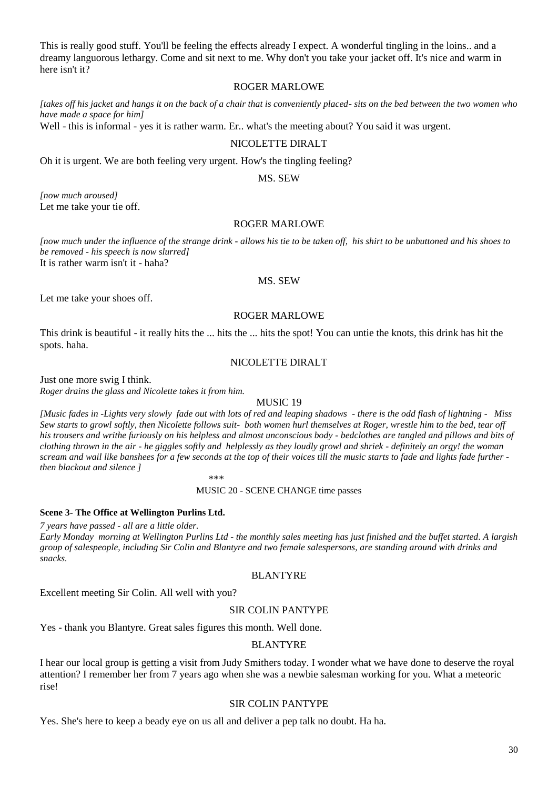This is really good stuff. You'll be feeling the effects already I expect. A wonderful tingling in the loins.. and a dreamy languorous lethargy. Come and sit next to me. Why don't you take your jacket off. It's nice and warm in here isn't it?

#### ROGER MARLOWE

*[takes off his jacket and hangs it on the back of a chair that is conveniently placed- sits on the bed between the two women who have made a space for him]*

Well - this is informal - yes it is rather warm. Er.. what's the meeting about? You said it was urgent.

#### NICOLETTE DIRALT

Oh it is urgent. We are both feeling very urgent. How's the tingling feeling?

MS. SEW

*[now much aroused]* Let me take your tie off.

## ROGER MARLOWE

*[now much under the influence of the strange drink - allows his tie to be taken off, his shirt to be unbuttoned and his shoes to be removed - his speech is now slurred]* It is rather warm isn't it - haha?

#### MS. SEW

Let me take your shoes off.

#### ROGER MARLOWE

This drink is beautiful - it really hits the ... hits the ... hits the spot! You can untie the knots, this drink has hit the spots. haha.

#### NICOLETTE DIRALT

Just one more swig I think.

*Roger drains the glass and Nicolette takes it from him.*

#### MUSIC 19

*[Music fades in -Lights very slowly fade out with lots of red and leaping shadows - there is the odd flash of lightning - Miss Sew starts to growl softly, then Nicolette follows suit- both women hurl themselves at Roger, wrestle him to the bed, tear off his trousers and writhe furiously on his helpless and almost unconscious body - bedclothes are tangled and pillows and bits of clothing thrown in the air - he giggles softly and helplessly as they loudly growl and shriek - definitely an orgy! the woman scream and wail like banshees for a few seconds at the top of their voices till the music starts to fade and lights fade further then blackout and silence ]*

#### \*\*\*

MUSIC 20 - SCENE CHANGE time passes

#### **Scene 3- The Office at Wellington Purlins Ltd.**

*7 years have passed - all are a little older.*

*Early Monday morning at Wellington Purlins Ltd - the monthly sales meeting has just finished and the buffet started. A largish group of salespeople, including Sir Colin and Blantyre and two female salespersons, are standing around with drinks and snacks.*

#### BLANTYRE

Excellent meeting Sir Colin. All well with you?

#### SIR COLIN PANTYPE

Yes - thank you Blantyre. Great sales figures this month. Well done.

#### BLANTYRE

I hear our local group is getting a visit from Judy Smithers today. I wonder what we have done to deserve the royal attention? I remember her from 7 years ago when she was a newbie salesman working for you. What a meteoric rise!

#### SIR COLIN PANTYPE

Yes. She's here to keep a beady eye on us all and deliver a pep talk no doubt. Ha ha.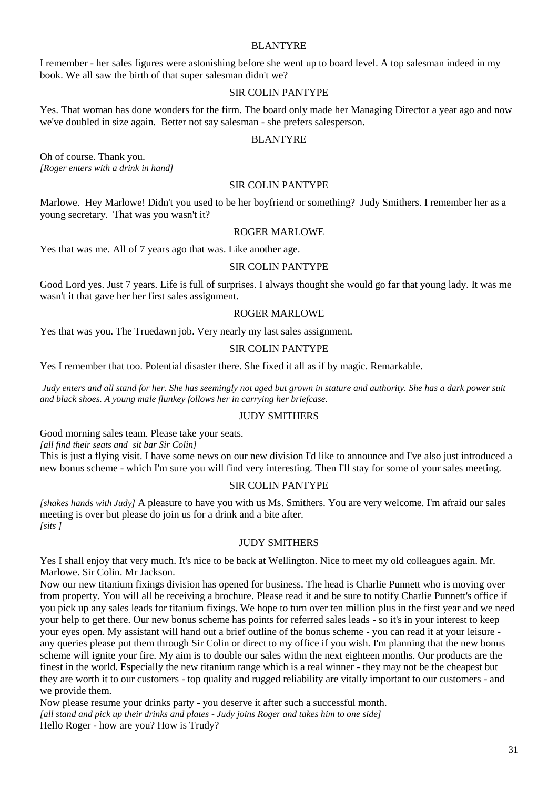#### BLANTYRE

I remember - her sales figures were astonishing before she went up to board level. A top salesman indeed in my book. We all saw the birth of that super salesman didn't we?

# SIR COLIN PANTYPE

Yes. That woman has done wonders for the firm. The board only made her Managing Director a year ago and now we've doubled in size again. Better not say salesman - she prefers salesperson.

# BLANTYRE

Oh of course. Thank you. *[Roger enters with a drink in hand]*

#### SIR COLIN PANTYPE

Marlowe. Hey Marlowe! Didn't you used to be her boyfriend or something? Judy Smithers. I remember her as a young secretary. That was you wasn't it?

#### ROGER MARLOWE

Yes that was me. All of 7 years ago that was. Like another age.

#### SIR COLIN PANTYPE

Good Lord yes. Just 7 years. Life is full of surprises. I always thought she would go far that young lady. It was me wasn't it that gave her her first sales assignment.

# ROGER MARLOWE

Yes that was you. The Truedawn job. Very nearly my last sales assignment.

#### SIR COLIN PANTYPE

Yes I remember that too. Potential disaster there. She fixed it all as if by magic. Remarkable.

*Judy enters and all stand for her. She has seemingly not aged but grown in stature and authority. She has a dark power suit and black shoes. A young male flunkey follows her in carrying her briefcase.*

# JUDY SMITHERS

Good morning sales team. Please take your seats.

*[all find their seats and sit bar Sir Colin]*

This is just a flying visit. I have some news on our new division I'd like to announce and I've also just introduced a new bonus scheme - which I'm sure you will find very interesting. Then I'll stay for some of your sales meeting.

#### SIR COLIN PANTYPE

*[shakes hands with Judy]* A pleasure to have you with us Ms. Smithers. You are very welcome. I'm afraid our sales meeting is over but please do join us for a drink and a bite after. *[sits ]*

## JUDY SMITHERS

Yes I shall enjoy that very much. It's nice to be back at Wellington. Nice to meet my old colleagues again. Mr. Marlowe. Sir Colin. Mr Jackson.

Now our new titanium fixings division has opened for business. The head is Charlie Punnett who is moving over from property. You will all be receiving a brochure. Please read it and be sure to notify Charlie Punnett's office if you pick up any sales leads for titanium fixings. We hope to turn over ten million plus in the first year and we need your help to get there. Our new bonus scheme has points for referred sales leads - so it's in your interest to keep your eyes open. My assistant will hand out a brief outline of the bonus scheme - you can read it at your leisure any queries please put them through Sir Colin or direct to my office if you wish. I'm planning that the new bonus scheme will ignite your fire. My aim is to double our sales withn the next eighteen months. Our products are the finest in the world. Especially the new titanium range which is a real winner - they may not be the cheapest but they are worth it to our customers - top quality and rugged reliability are vitally important to our customers - and we provide them.

Now please resume your drinks party - you deserve it after such a successful month. *[all stand and pick up their drinks and plates - Judy joins Roger and takes him to one side]* Hello Roger - how are you? How is Trudy?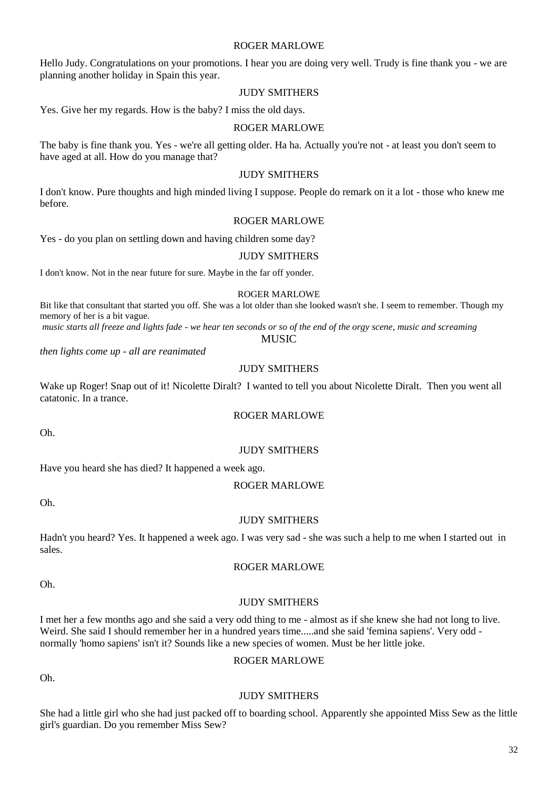#### ROGER MARLOWE

Hello Judy. Congratulations on your promotions. I hear you are doing very well. Trudy is fine thank you - we are planning another holiday in Spain this year.

# JUDY SMITHERS

Yes. Give her my regards. How is the baby? I miss the old days.

#### ROGER MARLOWE

The baby is fine thank you. Yes - we're all getting older. Ha ha. Actually you're not - at least you don't seem to have aged at all. How do you manage that?

#### JUDY SMITHERS

I don't know. Pure thoughts and high minded living I suppose. People do remark on it a lot - those who knew me before.

#### ROGER MARLOWE

Yes - do you plan on settling down and having children some day?

# JUDY SMITHERS

I don't know. Not in the near future for sure. Maybe in the far off yonder.

#### ROGER MARLOWE

Bit like that consultant that started you off. She was a lot older than she looked wasn't she. I seem to remember. Though my memory of her is a bit vague.

*music starts all freeze and lights fade - we hear ten seconds or so of the end of the orgy scene, music and screaming* MUSIC

*then lights come up - all are reanimated*

# JUDY SMITHERS

Wake up Roger! Snap out of it! Nicolette Diralt? I wanted to tell you about Nicolette Diralt. Then you went all catatonic. In a trance.

# ROGER MARLOWE

Oh.

# JUDY SMITHERS

Have you heard she has died? It happened a week ago.

#### ROGER MARLOWE

Oh.

#### JUDY SMITHERS

Hadn't you heard? Yes. It happened a week ago. I was very sad - she was such a help to me when I started out in sales.

#### ROGER MARLOWE

# Oh.

#### JUDY SMITHERS

I met her a few months ago and she said a very odd thing to me - almost as if she knew she had not long to live. Weird. She said I should remember her in a hundred years time.....and she said 'femina sapiens'. Very odd normally 'homo sapiens' isn't it? Sounds like a new species of women. Must be her little joke.

Oh.

# ROGER MARLOWE

# She had a little girl who she had just packed off to boarding school. Apparently she appointed Miss Sew as the little girl's guardian. Do you remember Miss Sew?

JUDY SMITHERS